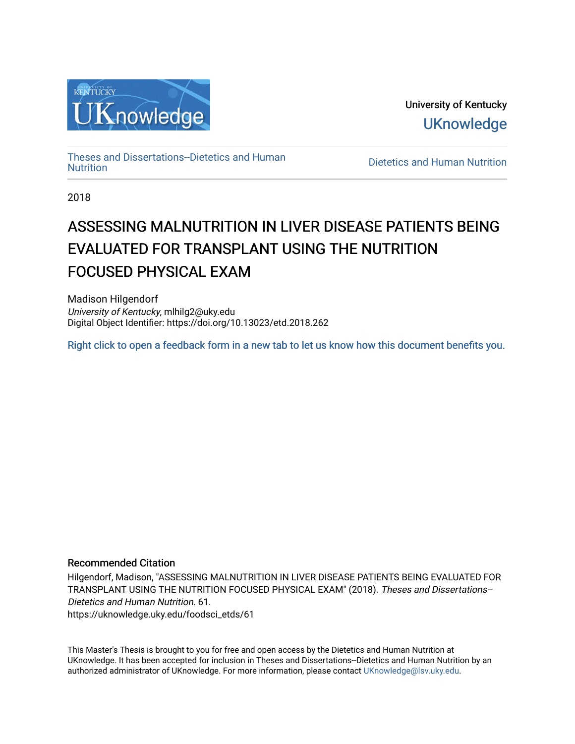

University of Kentucky **UKnowledge** 

[Theses and Dissertations--Dietetics and Human](https://uknowledge.uky.edu/foodsci_etds)

Dietetics and Human [Nutrition](https://uknowledge.uky.edu/foodsci_etds)

2018

# ASSESSING MALNUTRITION IN LIVER DISEASE PATIENTS BEING EVALUATED FOR TRANSPLANT USING THE NUTRITION FOCUSED PHYSICAL EXAM

Madison Hilgendorf University of Kentucky, mlhilg2@uky.edu Digital Object Identifier: https://doi.org/10.13023/etd.2018.262

[Right click to open a feedback form in a new tab to let us know how this document benefits you.](https://uky.az1.qualtrics.com/jfe/form/SV_9mq8fx2GnONRfz7)

#### Recommended Citation

Hilgendorf, Madison, "ASSESSING MALNUTRITION IN LIVER DISEASE PATIENTS BEING EVALUATED FOR TRANSPLANT USING THE NUTRITION FOCUSED PHYSICAL EXAM" (2018). Theses and Dissertations-- Dietetics and Human Nutrition. 61. https://uknowledge.uky.edu/foodsci\_etds/61

This Master's Thesis is brought to you for free and open access by the Dietetics and Human Nutrition at UKnowledge. It has been accepted for inclusion in Theses and Dissertations--Dietetics and Human Nutrition by an authorized administrator of UKnowledge. For more information, please contact [UKnowledge@lsv.uky.edu](mailto:UKnowledge@lsv.uky.edu).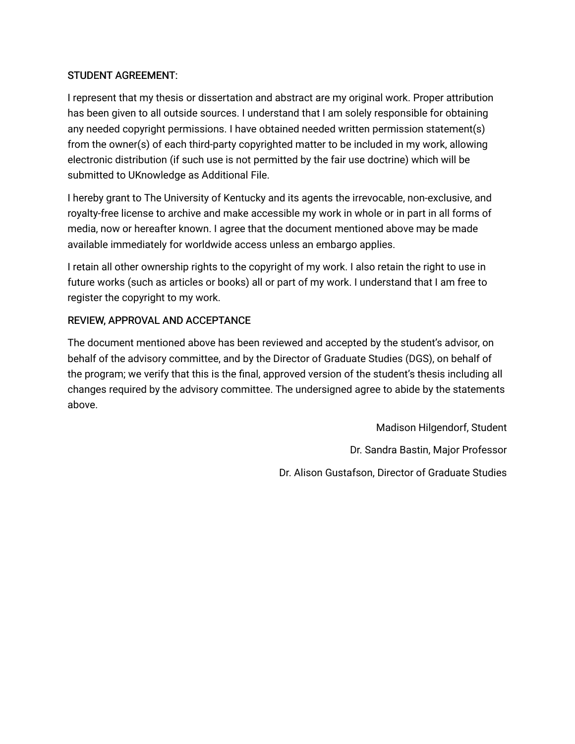### STUDENT AGREEMENT:

I represent that my thesis or dissertation and abstract are my original work. Proper attribution has been given to all outside sources. I understand that I am solely responsible for obtaining any needed copyright permissions. I have obtained needed written permission statement(s) from the owner(s) of each third-party copyrighted matter to be included in my work, allowing electronic distribution (if such use is not permitted by the fair use doctrine) which will be submitted to UKnowledge as Additional File.

I hereby grant to The University of Kentucky and its agents the irrevocable, non-exclusive, and royalty-free license to archive and make accessible my work in whole or in part in all forms of media, now or hereafter known. I agree that the document mentioned above may be made available immediately for worldwide access unless an embargo applies.

I retain all other ownership rights to the copyright of my work. I also retain the right to use in future works (such as articles or books) all or part of my work. I understand that I am free to register the copyright to my work.

### REVIEW, APPROVAL AND ACCEPTANCE

The document mentioned above has been reviewed and accepted by the student's advisor, on behalf of the advisory committee, and by the Director of Graduate Studies (DGS), on behalf of the program; we verify that this is the final, approved version of the student's thesis including all changes required by the advisory committee. The undersigned agree to abide by the statements above.

> Madison Hilgendorf, Student Dr. Sandra Bastin, Major Professor Dr. Alison Gustafson, Director of Graduate Studies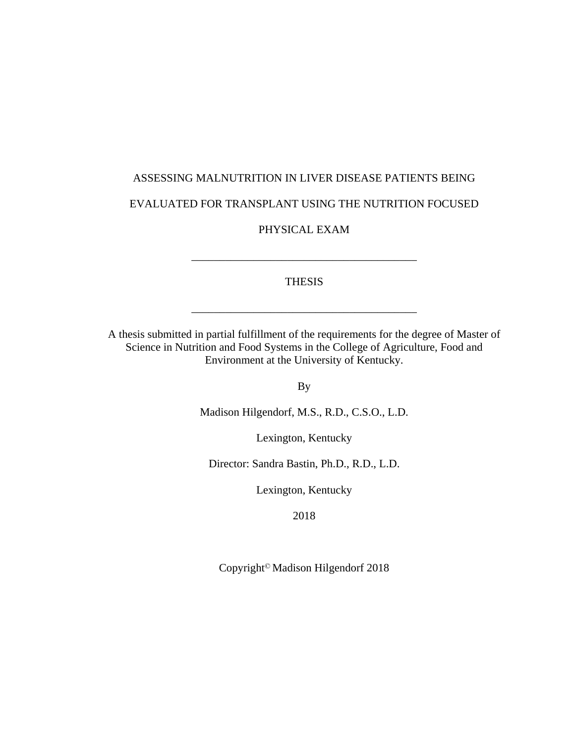# ASSESSING MALNUTRITION IN LIVER DISEASE PATIENTS BEING EVALUATED FOR TRANSPLANT USING THE NUTRITION FOCUSED

PHYSICAL EXAM

\_\_\_\_\_\_\_\_\_\_\_\_\_\_\_\_\_\_\_\_\_\_\_\_\_\_\_\_\_\_\_\_\_\_\_\_\_\_\_\_

THESIS

\_\_\_\_\_\_\_\_\_\_\_\_\_\_\_\_\_\_\_\_\_\_\_\_\_\_\_\_\_\_\_\_\_\_\_\_\_\_\_\_

A thesis submitted in partial fulfillment of the requirements for the degree of Master of Science in Nutrition and Food Systems in the College of Agriculture, Food and Environment at the University of Kentucky.

By

Madison Hilgendorf, M.S., R.D., C.S.O., L.D.

Lexington, Kentucky

Director: Sandra Bastin, Ph.D., R.D., L.D.

Lexington, Kentucky

2018

Copyright© Madison Hilgendorf 2018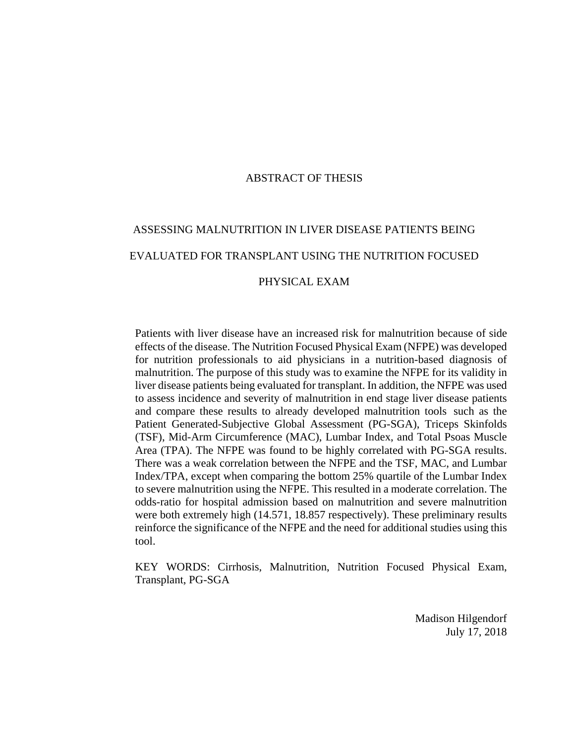#### ABSTRACT OF THESIS

# ASSESSING MALNUTRITION IN LIVER DISEASE PATIENTS BEING EVALUATED FOR TRANSPLANT USING THE NUTRITION FOCUSED

#### PHYSICAL EXAM

Patients with liver disease have an increased risk for malnutrition because of side effects of the disease. The Nutrition Focused Physical Exam (NFPE) was developed for nutrition professionals to aid physicians in a nutrition-based diagnosis of malnutrition. The purpose of this study was to examine the NFPE for its validity in liver disease patients being evaluated for transplant. In addition, the NFPE was used to assess incidence and severity of malnutrition in end stage liver disease patients and compare these results to already developed malnutrition tools such as the Patient Generated-Subjective Global Assessment (PG-SGA), Triceps Skinfolds (TSF), Mid-Arm Circumference (MAC), Lumbar Index, and Total Psoas Muscle Area (TPA). The NFPE was found to be highly correlated with PG-SGA results. There was a weak correlation between the NFPE and the TSF, MAC, and Lumbar Index/TPA, except when comparing the bottom 25% quartile of the Lumbar Index to severe malnutrition using the NFPE. This resulted in a moderate correlation. The odds-ratio for hospital admission based on malnutrition and severe malnutrition were both extremely high (14.571, 18.857 respectively). These preliminary results reinforce the significance of the NFPE and the need for additional studies using this tool.

KEY WORDS: Cirrhosis, Malnutrition, Nutrition Focused Physical Exam, Transplant, PG-SGA

> Madison Hilgendorf July 17, 2018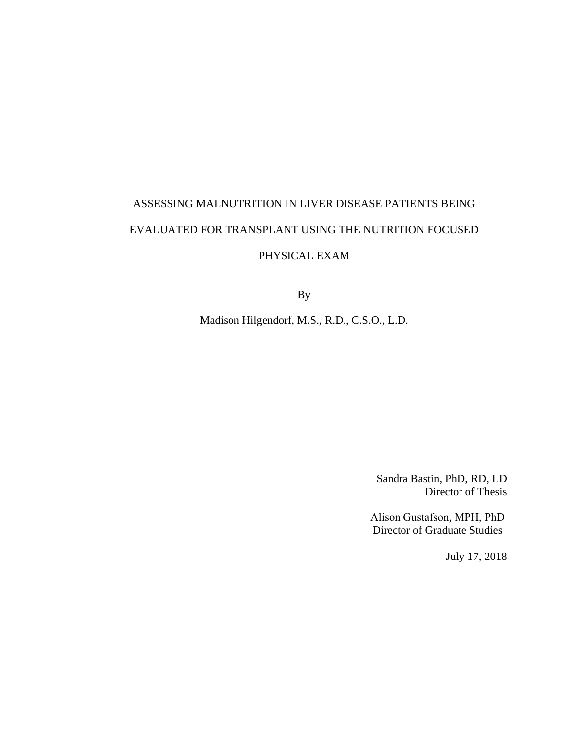# ASSESSING MALNUTRITION IN LIVER DISEASE PATIENTS BEING EVALUATED FOR TRANSPLANT USING THE NUTRITION FOCUSED

## PHYSICAL EXAM

By

Madison Hilgendorf, M.S., R.D., C.S.O., L.D.

Sandra Bastin, PhD, RD, LD Director of Thesis

Alison Gustafson, MPH, PhD Director of Graduate Studies

July 17, 2018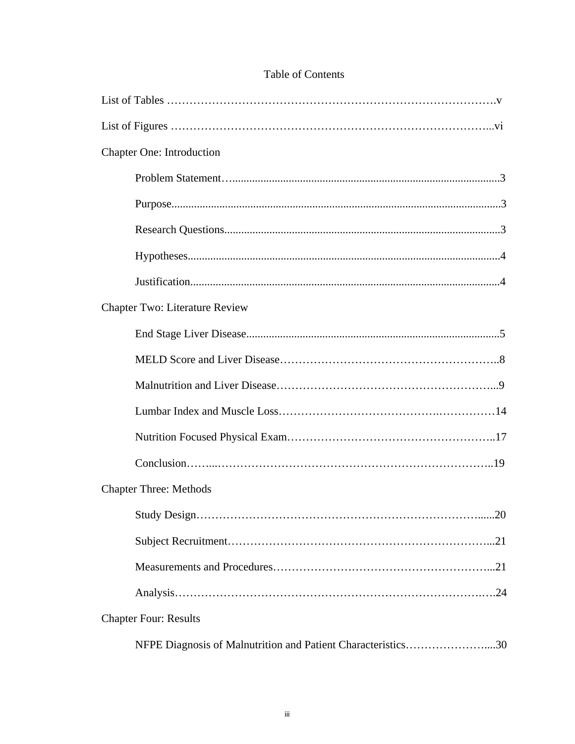| <b>Chapter One: Introduction</b>                             |
|--------------------------------------------------------------|
|                                                              |
|                                                              |
|                                                              |
|                                                              |
|                                                              |
| Chapter Two: Literature Review                               |
|                                                              |
|                                                              |
|                                                              |
|                                                              |
|                                                              |
|                                                              |
| <b>Chapter Three: Methods</b>                                |
| $\dots 20$                                                   |
|                                                              |
|                                                              |
|                                                              |
| <b>Chapter Four: Results</b>                                 |
| NFPE Diagnosis of Malnutrition and Patient Characteristics30 |

## Table of Contents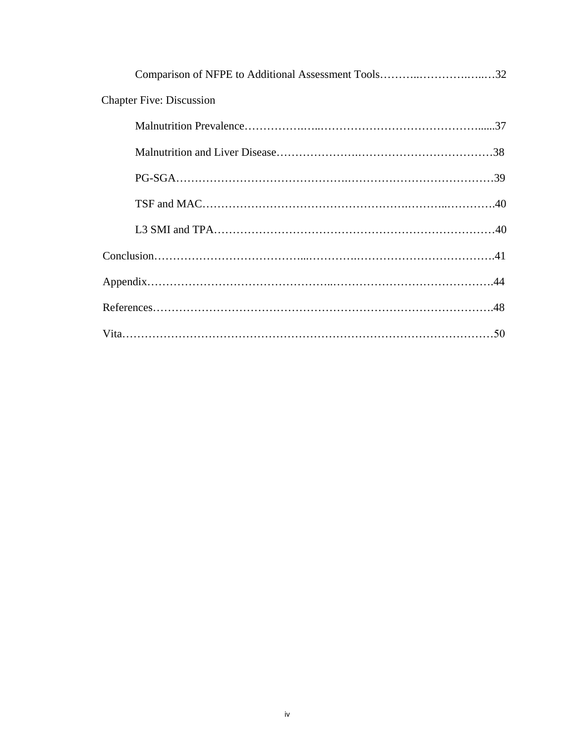| Comparison of NFPE to Additional Assessment Tools32 |  |
|-----------------------------------------------------|--|
| <b>Chapter Five: Discussion</b>                     |  |
|                                                     |  |
|                                                     |  |
|                                                     |  |
|                                                     |  |
|                                                     |  |
|                                                     |  |
|                                                     |  |
|                                                     |  |
|                                                     |  |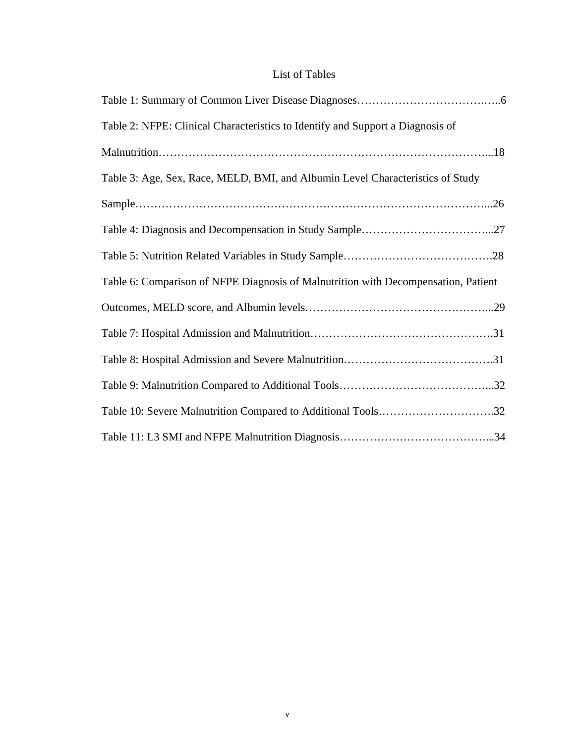## List of Tables

| Table 2: NFPE: Clinical Characteristics to Identify and Support a Diagnosis of     |  |
|------------------------------------------------------------------------------------|--|
|                                                                                    |  |
| Table 3: Age, Sex, Race, MELD, BMI, and Albumin Level Characteristics of Study     |  |
|                                                                                    |  |
|                                                                                    |  |
|                                                                                    |  |
| Table 6: Comparison of NFPE Diagnosis of Malnutrition with Decompensation, Patient |  |
|                                                                                    |  |
|                                                                                    |  |
|                                                                                    |  |
|                                                                                    |  |
| Table 10: Severe Malnutrition Compared to Additional Tools32                       |  |
|                                                                                    |  |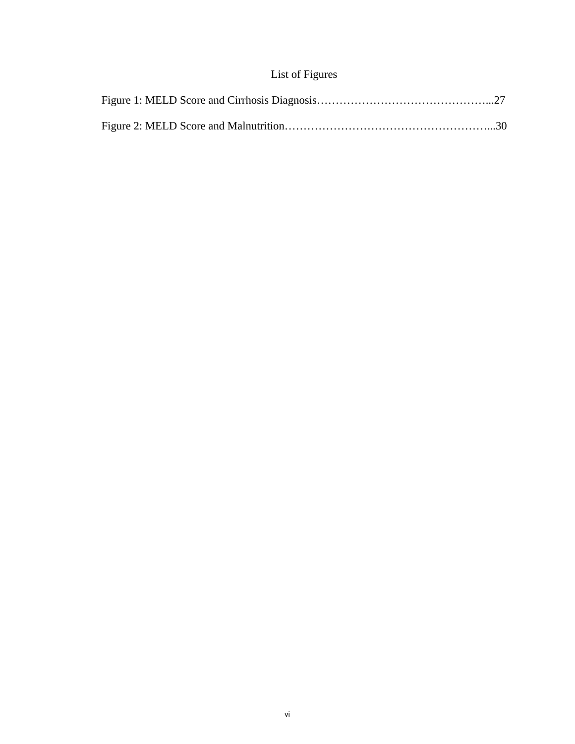# List of Figures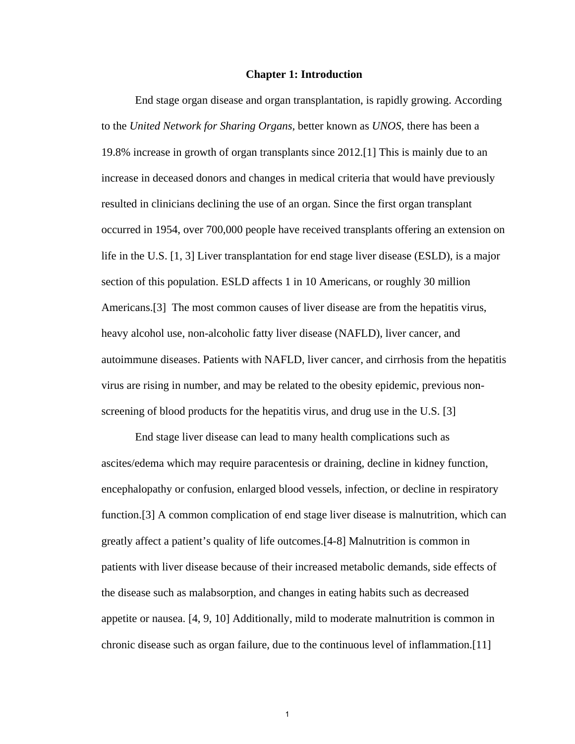#### **Chapter 1: Introduction**

End stage organ disease and organ transplantation, is rapidly growing. According to the *United Network for Sharing Organs,* better known as *UNOS*, there has been a 19.8% increase in growth of organ transplants since 2012.[1] This is mainly due to an increase in deceased donors and changes in medical criteria that would have previously resulted in clinicians declining the use of an organ. Since the first organ transplant occurred in 1954, over 700,000 people have received transplants offering an extension on life in the U.S. [1, 3] Liver transplantation for end stage liver disease (ESLD), is a major section of this population. ESLD affects 1 in 10 Americans, or roughly 30 million Americans.[3] The most common causes of liver disease are from the hepatitis virus, heavy alcohol use, non-alcoholic fatty liver disease (NAFLD), liver cancer, and autoimmune diseases. Patients with NAFLD, liver cancer, and cirrhosis from the hepatitis virus are rising in number, and may be related to the obesity epidemic, previous nonscreening of blood products for the hepatitis virus, and drug use in the U.S. [3]

End stage liver disease can lead to many health complications such as ascites/edema which may require paracentesis or draining, decline in kidney function, encephalopathy or confusion, enlarged blood vessels, infection, or decline in respiratory function.[3] A common complication of end stage liver disease is malnutrition, which can greatly affect a patient's quality of life outcomes.[4-8] Malnutrition is common in patients with liver disease because of their increased metabolic demands, side effects of the disease such as malabsorption, and changes in eating habits such as decreased appetite or nausea. [4, 9, 10] Additionally, mild to moderate malnutrition is common in chronic disease such as organ failure, due to the continuous level of inflammation.[11]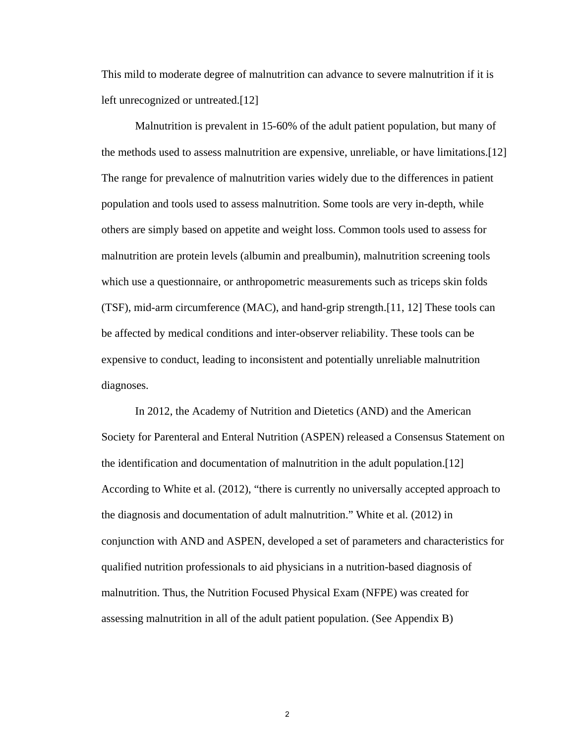This mild to moderate degree of malnutrition can advance to severe malnutrition if it is left unrecognized or untreated.[12]

Malnutrition is prevalent in 15-60% of the adult patient population, but many of the methods used to assess malnutrition are expensive, unreliable, or have limitations.[12] The range for prevalence of malnutrition varies widely due to the differences in patient population and tools used to assess malnutrition. Some tools are very in-depth, while others are simply based on appetite and weight loss. Common tools used to assess for malnutrition are protein levels (albumin and prealbumin), malnutrition screening tools which use a questionnaire, or anthropometric measurements such as triceps skin folds (TSF), mid-arm circumference (MAC), and hand-grip strength.[11, 12] These tools can be affected by medical conditions and inter-observer reliability. These tools can be expensive to conduct, leading to inconsistent and potentially unreliable malnutrition diagnoses.

In 2012, the Academy of Nutrition and Dietetics (AND) and the American Society for Parenteral and Enteral Nutrition (ASPEN) released a Consensus Statement on the identification and documentation of malnutrition in the adult population.[12] According to White et al. (2012), "there is currently no universally accepted approach to the diagnosis and documentation of adult malnutrition." White et al*.* (2012) in conjunction with AND and ASPEN, developed a set of parameters and characteristics for qualified nutrition professionals to aid physicians in a nutrition-based diagnosis of malnutrition. Thus, the Nutrition Focused Physical Exam (NFPE) was created for assessing malnutrition in all of the adult patient population. (See Appendix B)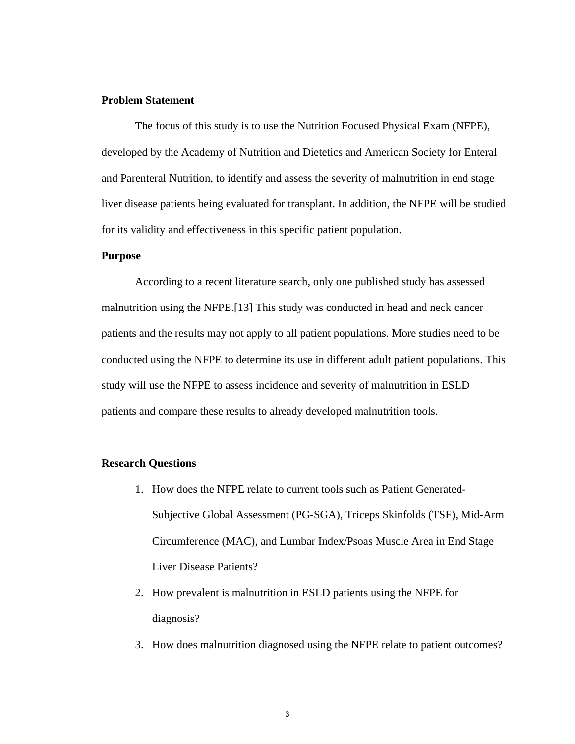#### **Problem Statement**

The focus of this study is to use the Nutrition Focused Physical Exam (NFPE), developed by the Academy of Nutrition and Dietetics and American Society for Enteral and Parenteral Nutrition, to identify and assess the severity of malnutrition in end stage liver disease patients being evaluated for transplant. In addition, the NFPE will be studied for its validity and effectiveness in this specific patient population.

#### **Purpose**

According to a recent literature search, only one published study has assessed malnutrition using the NFPE.[13] This study was conducted in head and neck cancer patients and the results may not apply to all patient populations. More studies need to be conducted using the NFPE to determine its use in different adult patient populations. This study will use the NFPE to assess incidence and severity of malnutrition in ESLD patients and compare these results to already developed malnutrition tools.

#### **Research Questions**

- 1. How does the NFPE relate to current tools such as Patient Generated-Subjective Global Assessment (PG-SGA), Triceps Skinfolds (TSF), Mid-Arm Circumference (MAC), and Lumbar Index/Psoas Muscle Area in End Stage Liver Disease Patients?
- 2. How prevalent is malnutrition in ESLD patients using the NFPE for diagnosis?
- 3. How does malnutrition diagnosed using the NFPE relate to patient outcomes?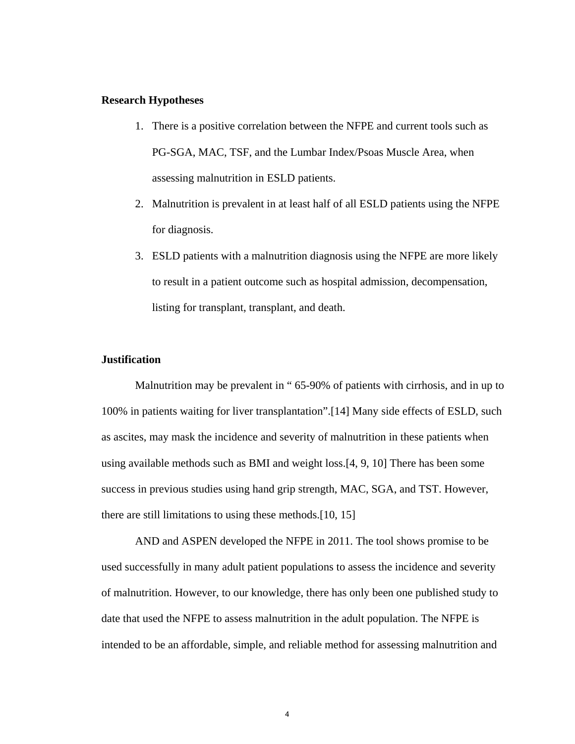#### **Research Hypotheses**

- 1. There is a positive correlation between the NFPE and current tools such as PG-SGA, MAC, TSF, and the Lumbar Index/Psoas Muscle Area, when assessing malnutrition in ESLD patients.
- 2. Malnutrition is prevalent in at least half of all ESLD patients using the NFPE for diagnosis.
- 3. ESLD patients with a malnutrition diagnosis using the NFPE are more likely to result in a patient outcome such as hospital admission, decompensation, listing for transplant, transplant, and death.

#### **Justification**

Malnutrition may be prevalent in "65-90% of patients with cirrhosis, and in up to 100% in patients waiting for liver transplantation".[14] Many side effects of ESLD, such as ascites, may mask the incidence and severity of malnutrition in these patients when using available methods such as BMI and weight loss.[4, 9, 10] There has been some success in previous studies using hand grip strength, MAC, SGA, and TST. However, there are still limitations to using these methods.[10, 15]

 AND and ASPEN developed the NFPE in 2011. The tool shows promise to be used successfully in many adult patient populations to assess the incidence and severity of malnutrition. However, to our knowledge, there has only been one published study to date that used the NFPE to assess malnutrition in the adult population. The NFPE is intended to be an affordable, simple, and reliable method for assessing malnutrition and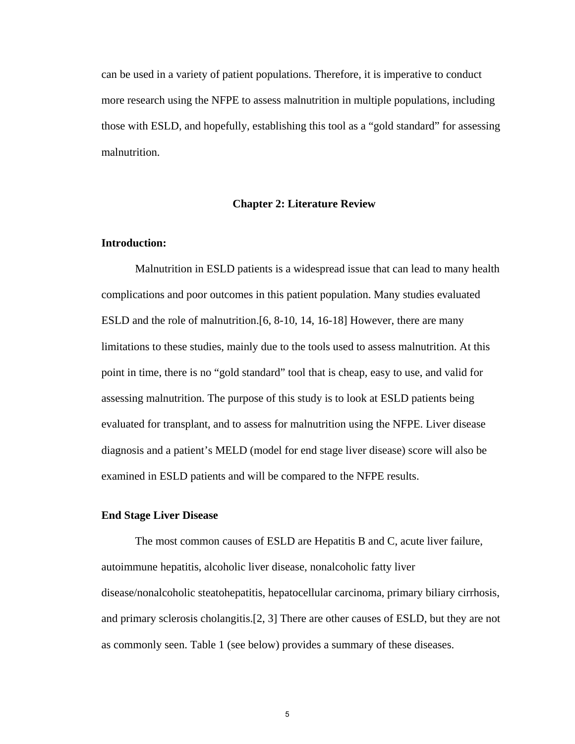can be used in a variety of patient populations. Therefore, it is imperative to conduct more research using the NFPE to assess malnutrition in multiple populations, including those with ESLD, and hopefully, establishing this tool as a "gold standard" for assessing malnutrition.

#### **Chapter 2: Literature Review**

#### **Introduction:**

Malnutrition in ESLD patients is a widespread issue that can lead to many health complications and poor outcomes in this patient population. Many studies evaluated ESLD and the role of malnutrition.[6, 8-10, 14, 16-18] However, there are many limitations to these studies, mainly due to the tools used to assess malnutrition. At this point in time, there is no "gold standard" tool that is cheap, easy to use, and valid for assessing malnutrition. The purpose of this study is to look at ESLD patients being evaluated for transplant, and to assess for malnutrition using the NFPE. Liver disease diagnosis and a patient's MELD (model for end stage liver disease) score will also be examined in ESLD patients and will be compared to the NFPE results.

#### **End Stage Liver Disease**

The most common causes of ESLD are Hepatitis B and C, acute liver failure, autoimmune hepatitis, alcoholic liver disease, nonalcoholic fatty liver disease/nonalcoholic steatohepatitis, hepatocellular carcinoma, primary biliary cirrhosis, and primary sclerosis cholangitis.[2, 3] There are other causes of ESLD, but they are not as commonly seen. Table 1 (see below) provides a summary of these diseases.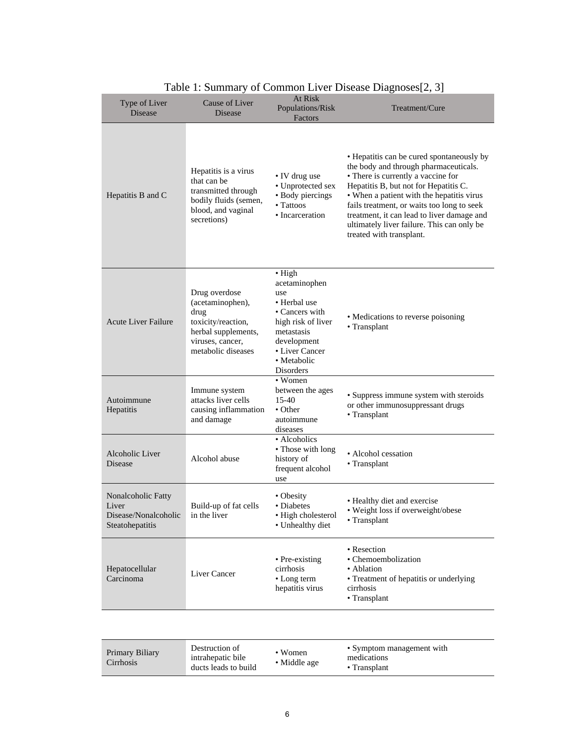| Type of Liver<br><b>Disease</b>                                        | Cause of Liver<br>Disease                                                                                                        | At Risk<br>Populations/Risk<br>Factors                                                                                                                                    | Treatment/Cure                                                                                                                                                                                                                                                                                                                                                                       |
|------------------------------------------------------------------------|----------------------------------------------------------------------------------------------------------------------------------|---------------------------------------------------------------------------------------------------------------------------------------------------------------------------|--------------------------------------------------------------------------------------------------------------------------------------------------------------------------------------------------------------------------------------------------------------------------------------------------------------------------------------------------------------------------------------|
| Hepatitis B and C                                                      | Hepatitis is a virus<br>that can be<br>transmitted through<br>bodily fluids (semen,<br>blood, and vaginal<br>secretions)         | • IV drug use<br>• Unprotected sex<br>• Body piercings<br>• Tattoos<br>• Incarceration                                                                                    | • Hepatitis can be cured spontaneously by<br>the body and through pharmaceuticals.<br>• There is currently a vaccine for<br>Hepatitis B, but not for Hepatitis C.<br>• When a patient with the hepatitis virus<br>fails treatment, or waits too long to seek<br>treatment, it can lead to liver damage and<br>ultimately liver failure. This can only be<br>treated with transplant. |
| <b>Acute Liver Failure</b>                                             | Drug overdose<br>(acetaminophen),<br>drug<br>toxicity/reaction,<br>herbal supplements,<br>viruses, cancer,<br>metabolic diseases | $\bullet$ High<br>acetaminophen<br>use<br>• Herbal use<br>• Cancers with<br>high risk of liver<br>metastasis<br>development<br>• Liver Cancer<br>• Metabolic<br>Disorders | • Medications to reverse poisoning<br>• Transplant                                                                                                                                                                                                                                                                                                                                   |
| Autoimmune<br>Hepatitis                                                | Immune system<br>attacks liver cells<br>causing inflammation<br>and damage                                                       | • Women<br>between the ages<br>15-40<br>$\bullet$ Other<br>autoimmune<br>diseases                                                                                         | • Suppress immune system with steroids<br>or other immunosuppressant drugs<br>• Transplant                                                                                                                                                                                                                                                                                           |
| Alcoholic Liver<br>Disease                                             | Alcohol abuse                                                                                                                    | • Alcoholics<br>• Those with long<br>history of<br>frequent alcohol<br>use                                                                                                | • Alcohol cessation<br>• Transplant                                                                                                                                                                                                                                                                                                                                                  |
| Nonalcoholic Fatty<br>Liver<br>Disease/Nonalcoholic<br>Steatohepatitis | Build-up of fat cells<br>in the liver                                                                                            | • Obesity<br>• Diabetes<br>· High cholesterol<br>• Unhealthy diet                                                                                                         | • Healthy diet and exercise<br>• Weight loss if overweight/obese<br>• Transplant                                                                                                                                                                                                                                                                                                     |
| Hepatocellular<br>Carcinoma                                            | Liver Cancer                                                                                                                     | • Pre-existing<br>cirrhosis<br>• Long term<br>hepatitis virus                                                                                                             | • Resection<br>• Chemoembolization<br>• Ablation<br>• Treatment of hepatitis or underlying<br>cirrhosis<br>• Transplant                                                                                                                                                                                                                                                              |

### Table 1: Summary of Common Liver Disease Diagnoses[2, 3]

| Primary Biliary<br>Cirrhosis | Destruction of<br>intrahepatic bile<br>ducts leads to build | • Women<br>• Middle age | • Symptom management with<br>medications<br>$\bullet$ Transplant |
|------------------------------|-------------------------------------------------------------|-------------------------|------------------------------------------------------------------|
|------------------------------|-------------------------------------------------------------|-------------------------|------------------------------------------------------------------|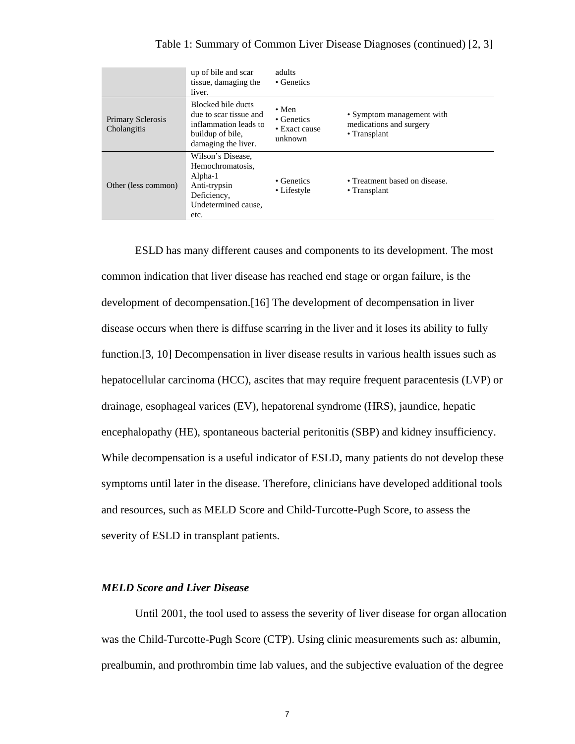|                                         | up of bile and scar<br>tissue, damaging the<br>liver.                                                            | adults<br>• Genetics                                    |                                                                      |
|-----------------------------------------|------------------------------------------------------------------------------------------------------------------|---------------------------------------------------------|----------------------------------------------------------------------|
| <b>Primary Sclerosis</b><br>Cholangitis | Blocked bile ducts<br>due to scar tissue and<br>inflammation leads to<br>buildup of bile,<br>damaging the liver. | $\bullet$ Men<br>• Genetics<br>• Exact cause<br>unknown | • Symptom management with<br>medications and surgery<br>• Transplant |
| Other (less common)                     | Wilson's Disease.<br>Hemochromatosis,<br>Alpha-1<br>Anti-trypsin<br>Deficiency,<br>Undetermined cause,<br>etc.   | • Genetics<br>• Lifestyle                               | • Treatment based on disease.<br>$\cdot$ Transplant                  |

ESLD has many different causes and components to its development. The most common indication that liver disease has reached end stage or organ failure, is the development of decompensation.[16] The development of decompensation in liver disease occurs when there is diffuse scarring in the liver and it loses its ability to fully function.[3, 10] Decompensation in liver disease results in various health issues such as hepatocellular carcinoma (HCC), ascites that may require frequent paracentesis (LVP) or drainage, esophageal varices (EV), hepatorenal syndrome (HRS), jaundice, hepatic encephalopathy (HE), spontaneous bacterial peritonitis (SBP) and kidney insufficiency. While decompensation is a useful indicator of ESLD, many patients do not develop these symptoms until later in the disease. Therefore, clinicians have developed additional tools and resources, such as MELD Score and Child-Turcotte-Pugh Score, to assess the severity of ESLD in transplant patients.

#### *MELD Score and Liver Disease*

Until 2001, the tool used to assess the severity of liver disease for organ allocation was the Child-Turcotte-Pugh Score (CTP). Using clinic measurements such as: albumin, prealbumin, and prothrombin time lab values, and the subjective evaluation of the degree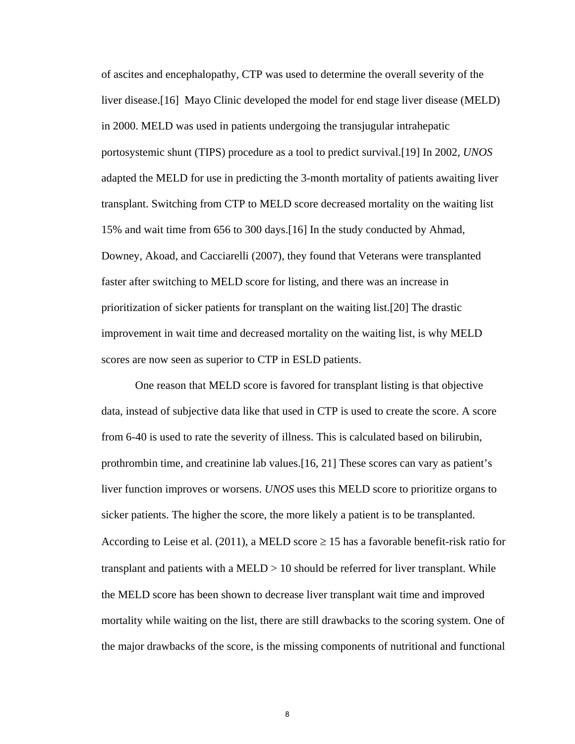of ascites and encephalopathy, CTP was used to determine the overall severity of the liver disease.[16] Mayo Clinic developed the model for end stage liver disease (MELD) in 2000. MELD was used in patients undergoing the transjugular intrahepatic portosystemic shunt (TIPS) procedure as a tool to predict survival.[19] In 2002, *UNOS*  adapted the MELD for use in predicting the 3-month mortality of patients awaiting liver transplant. Switching from CTP to MELD score decreased mortality on the waiting list 15% and wait time from 656 to 300 days.[16] In the study conducted by Ahmad, Downey, Akoad, and Cacciarelli (2007), they found that Veterans were transplanted faster after switching to MELD score for listing, and there was an increase in prioritization of sicker patients for transplant on the waiting list.[20] The drastic improvement in wait time and decreased mortality on the waiting list, is why MELD scores are now seen as superior to CTP in ESLD patients.

One reason that MELD score is favored for transplant listing is that objective data, instead of subjective data like that used in CTP is used to create the score. A score from 6-40 is used to rate the severity of illness. This is calculated based on bilirubin, prothrombin time, and creatinine lab values.[16, 21] These scores can vary as patient's liver function improves or worsens. *UNOS* uses this MELD score to prioritize organs to sicker patients. The higher the score, the more likely a patient is to be transplanted. According to Leise et al. (2011), a MELD score  $\geq$  15 has a favorable benefit-risk ratio for transplant and patients with a MELD > 10 should be referred for liver transplant. While the MELD score has been shown to decrease liver transplant wait time and improved mortality while waiting on the list, there are still drawbacks to the scoring system. One of the major drawbacks of the score, is the missing components of nutritional and functional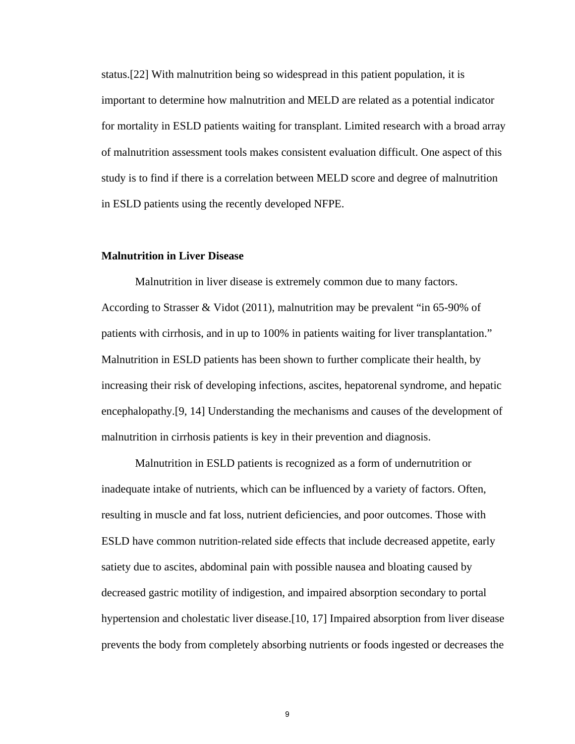status.[22] With malnutrition being so widespread in this patient population, it is important to determine how malnutrition and MELD are related as a potential indicator for mortality in ESLD patients waiting for transplant. Limited research with a broad array of malnutrition assessment tools makes consistent evaluation difficult. One aspect of this study is to find if there is a correlation between MELD score and degree of malnutrition in ESLD patients using the recently developed NFPE.

#### **Malnutrition in Liver Disease**

 Malnutrition in liver disease is extremely common due to many factors. According to Strasser & Vidot (2011), malnutrition may be prevalent "in 65-90% of patients with cirrhosis, and in up to 100% in patients waiting for liver transplantation." Malnutrition in ESLD patients has been shown to further complicate their health, by increasing their risk of developing infections, ascites, hepatorenal syndrome, and hepatic encephalopathy.[9, 14] Understanding the mechanisms and causes of the development of malnutrition in cirrhosis patients is key in their prevention and diagnosis.

Malnutrition in ESLD patients is recognized as a form of undernutrition or inadequate intake of nutrients, which can be influenced by a variety of factors. Often, resulting in muscle and fat loss, nutrient deficiencies, and poor outcomes. Those with ESLD have common nutrition-related side effects that include decreased appetite, early satiety due to ascites, abdominal pain with possible nausea and bloating caused by decreased gastric motility of indigestion, and impaired absorption secondary to portal hypertension and cholestatic liver disease.[10, 17] Impaired absorption from liver disease prevents the body from completely absorbing nutrients or foods ingested or decreases the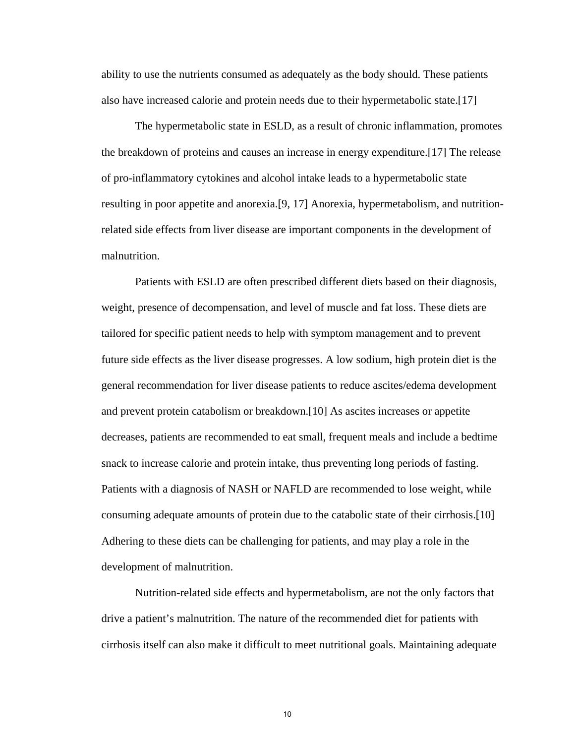ability to use the nutrients consumed as adequately as the body should. These patients also have increased calorie and protein needs due to their hypermetabolic state.[17]

The hypermetabolic state in ESLD, as a result of chronic inflammation, promotes the breakdown of proteins and causes an increase in energy expenditure.[17] The release of pro-inflammatory cytokines and alcohol intake leads to a hypermetabolic state resulting in poor appetite and anorexia.[9, 17] Anorexia, hypermetabolism, and nutritionrelated side effects from liver disease are important components in the development of malnutrition.

Patients with ESLD are often prescribed different diets based on their diagnosis, weight, presence of decompensation, and level of muscle and fat loss. These diets are tailored for specific patient needs to help with symptom management and to prevent future side effects as the liver disease progresses. A low sodium, high protein diet is the general recommendation for liver disease patients to reduce ascites/edema development and prevent protein catabolism or breakdown.[10] As ascites increases or appetite decreases, patients are recommended to eat small, frequent meals and include a bedtime snack to increase calorie and protein intake, thus preventing long periods of fasting. Patients with a diagnosis of NASH or NAFLD are recommended to lose weight, while consuming adequate amounts of protein due to the catabolic state of their cirrhosis.[10] Adhering to these diets can be challenging for patients, and may play a role in the development of malnutrition.

Nutrition-related side effects and hypermetabolism, are not the only factors that drive a patient's malnutrition. The nature of the recommended diet for patients with cirrhosis itself can also make it difficult to meet nutritional goals. Maintaining adequate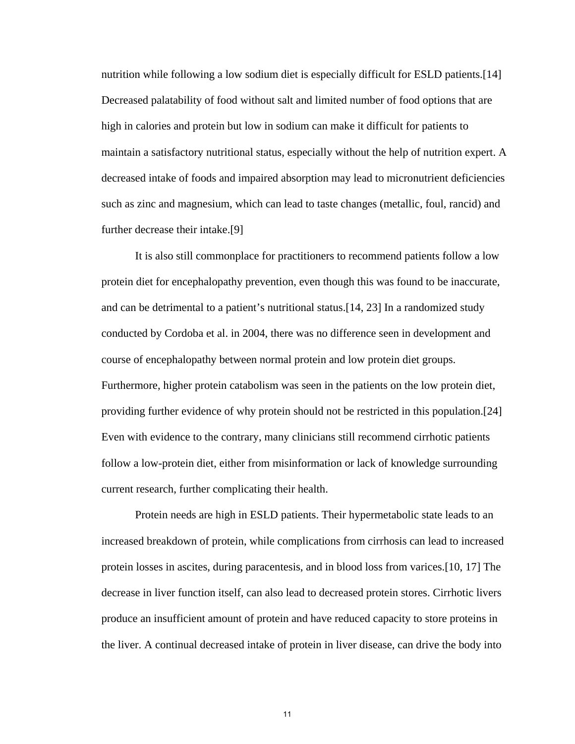nutrition while following a low sodium diet is especially difficult for ESLD patients.[14] Decreased palatability of food without salt and limited number of food options that are high in calories and protein but low in sodium can make it difficult for patients to maintain a satisfactory nutritional status, especially without the help of nutrition expert. A decreased intake of foods and impaired absorption may lead to micronutrient deficiencies such as zinc and magnesium, which can lead to taste changes (metallic, foul, rancid) and further decrease their intake.[9]

It is also still commonplace for practitioners to recommend patients follow a low protein diet for encephalopathy prevention, even though this was found to be inaccurate, and can be detrimental to a patient's nutritional status.[14, 23] In a randomized study conducted by Cordoba et al. in 2004, there was no difference seen in development and course of encephalopathy between normal protein and low protein diet groups. Furthermore, higher protein catabolism was seen in the patients on the low protein diet, providing further evidence of why protein should not be restricted in this population.[24] Even with evidence to the contrary, many clinicians still recommend cirrhotic patients follow a low-protein diet, either from misinformation or lack of knowledge surrounding current research, further complicating their health.

Protein needs are high in ESLD patients. Their hypermetabolic state leads to an increased breakdown of protein, while complications from cirrhosis can lead to increased protein losses in ascites, during paracentesis, and in blood loss from varices.[10, 17] The decrease in liver function itself, can also lead to decreased protein stores. Cirrhotic livers produce an insufficient amount of protein and have reduced capacity to store proteins in the liver. A continual decreased intake of protein in liver disease, can drive the body into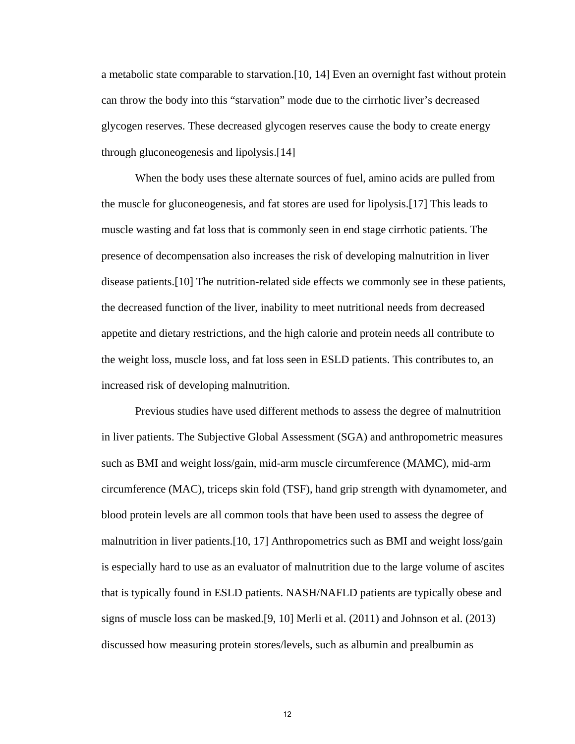a metabolic state comparable to starvation.[10, 14] Even an overnight fast without protein can throw the body into this "starvation" mode due to the cirrhotic liver's decreased glycogen reserves. These decreased glycogen reserves cause the body to create energy through gluconeogenesis and lipolysis.[14]

When the body uses these alternate sources of fuel, amino acids are pulled from the muscle for gluconeogenesis, and fat stores are used for lipolysis.[17] This leads to muscle wasting and fat loss that is commonly seen in end stage cirrhotic patients. The presence of decompensation also increases the risk of developing malnutrition in liver disease patients.[10] The nutrition-related side effects we commonly see in these patients, the decreased function of the liver, inability to meet nutritional needs from decreased appetite and dietary restrictions, and the high calorie and protein needs all contribute to the weight loss, muscle loss, and fat loss seen in ESLD patients. This contributes to, an increased risk of developing malnutrition.

Previous studies have used different methods to assess the degree of malnutrition in liver patients. The Subjective Global Assessment (SGA) and anthropometric measures such as BMI and weight loss/gain, mid-arm muscle circumference (MAMC), mid-arm circumference (MAC), triceps skin fold (TSF), hand grip strength with dynamometer, and blood protein levels are all common tools that have been used to assess the degree of malnutrition in liver patients.[10, 17] Anthropometrics such as BMI and weight loss/gain is especially hard to use as an evaluator of malnutrition due to the large volume of ascites that is typically found in ESLD patients. NASH/NAFLD patients are typically obese and signs of muscle loss can be masked.[9, 10] Merli et al. (2011) and Johnson et al. (2013) discussed how measuring protein stores/levels, such as albumin and prealbumin as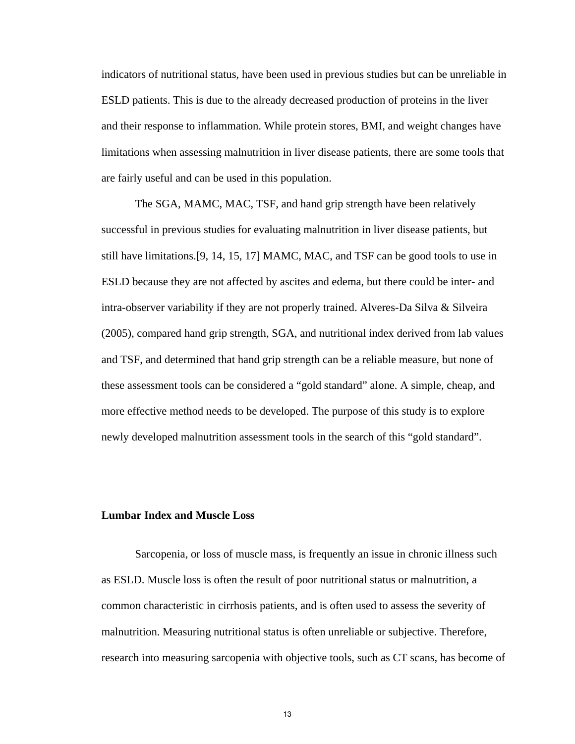indicators of nutritional status, have been used in previous studies but can be unreliable in ESLD patients. This is due to the already decreased production of proteins in the liver and their response to inflammation. While protein stores, BMI, and weight changes have limitations when assessing malnutrition in liver disease patients, there are some tools that are fairly useful and can be used in this population.

The SGA, MAMC, MAC, TSF, and hand grip strength have been relatively successful in previous studies for evaluating malnutrition in liver disease patients, but still have limitations.[9, 14, 15, 17] MAMC, MAC, and TSF can be good tools to use in ESLD because they are not affected by ascites and edema, but there could be inter- and intra-observer variability if they are not properly trained. Alveres-Da Silva & Silveira (2005), compared hand grip strength, SGA, and nutritional index derived from lab values and TSF, and determined that hand grip strength can be a reliable measure, but none of these assessment tools can be considered a "gold standard" alone. A simple, cheap, and more effective method needs to be developed. The purpose of this study is to explore newly developed malnutrition assessment tools in the search of this "gold standard".

#### **Lumbar Index and Muscle Loss**

Sarcopenia, or loss of muscle mass, is frequently an issue in chronic illness such as ESLD. Muscle loss is often the result of poor nutritional status or malnutrition, a common characteristic in cirrhosis patients, and is often used to assess the severity of malnutrition. Measuring nutritional status is often unreliable or subjective. Therefore, research into measuring sarcopenia with objective tools, such as CT scans, has become of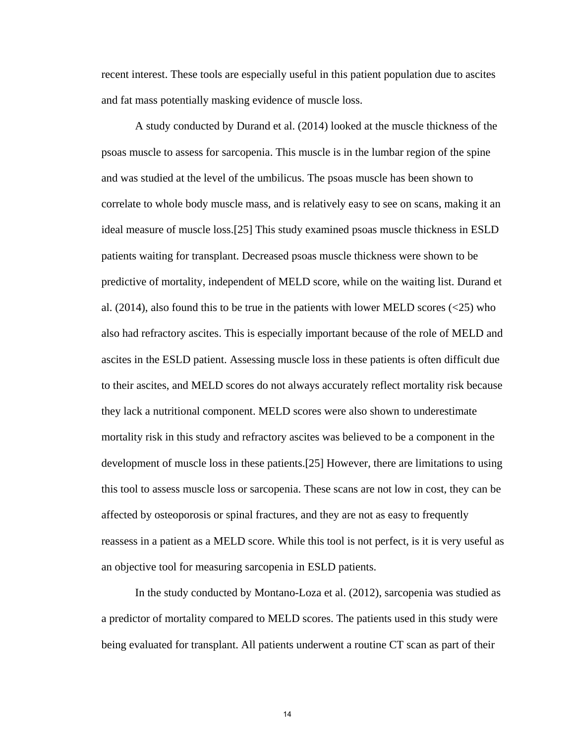recent interest. These tools are especially useful in this patient population due to ascites and fat mass potentially masking evidence of muscle loss.

A study conducted by Durand et al. (2014) looked at the muscle thickness of the psoas muscle to assess for sarcopenia. This muscle is in the lumbar region of the spine and was studied at the level of the umbilicus. The psoas muscle has been shown to correlate to whole body muscle mass, and is relatively easy to see on scans, making it an ideal measure of muscle loss.[25] This study examined psoas muscle thickness in ESLD patients waiting for transplant. Decreased psoas muscle thickness were shown to be predictive of mortality, independent of MELD score, while on the waiting list. Durand et al.  $(2014)$ , also found this to be true in the patients with lower MELD scores  $(\leq 25)$  who also had refractory ascites. This is especially important because of the role of MELD and ascites in the ESLD patient. Assessing muscle loss in these patients is often difficult due to their ascites, and MELD scores do not always accurately reflect mortality risk because they lack a nutritional component. MELD scores were also shown to underestimate mortality risk in this study and refractory ascites was believed to be a component in the development of muscle loss in these patients.[25] However, there are limitations to using this tool to assess muscle loss or sarcopenia. These scans are not low in cost, they can be affected by osteoporosis or spinal fractures, and they are not as easy to frequently reassess in a patient as a MELD score. While this tool is not perfect, is it is very useful as an objective tool for measuring sarcopenia in ESLD patients.

In the study conducted by Montano-Loza et al. (2012), sarcopenia was studied as a predictor of mortality compared to MELD scores. The patients used in this study were being evaluated for transplant. All patients underwent a routine CT scan as part of their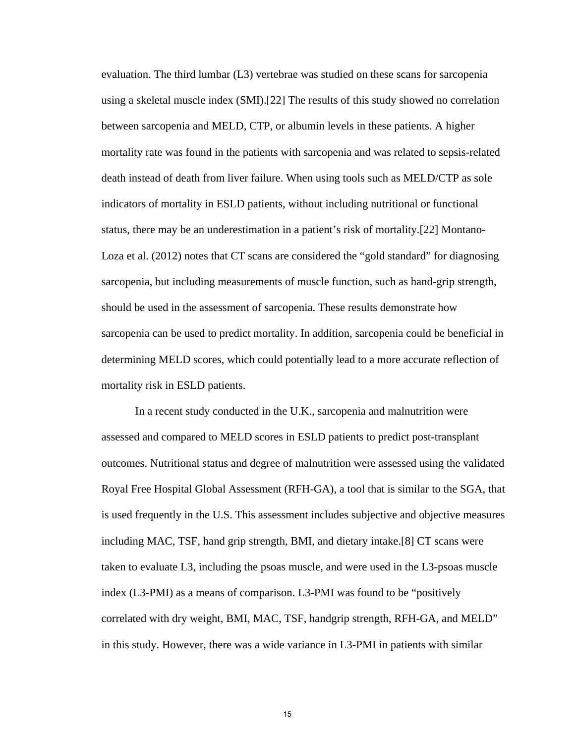evaluation. The third lumbar (L3) vertebrae was studied on these scans for sarcopenia using a skeletal muscle index (SMI).[22] The results of this study showed no correlation between sarcopenia and MELD, CTP, or albumin levels in these patients. A higher mortality rate was found in the patients with sarcopenia and was related to sepsis-related death instead of death from liver failure. When using tools such as MELD/CTP as sole indicators of mortality in ESLD patients, without including nutritional or functional status, there may be an underestimation in a patient's risk of mortality.[22] Montano-Loza et al. (2012) notes that CT scans are considered the "gold standard" for diagnosing sarcopenia, but including measurements of muscle function, such as hand-grip strength, should be used in the assessment of sarcopenia. These results demonstrate how sarcopenia can be used to predict mortality. In addition, sarcopenia could be beneficial in determining MELD scores, which could potentially lead to a more accurate reflection of mortality risk in ESLD patients.

In a recent study conducted in the U.K., sarcopenia and malnutrition were assessed and compared to MELD scores in ESLD patients to predict post-transplant outcomes. Nutritional status and degree of malnutrition were assessed using the validated Royal Free Hospital Global Assessment (RFH-GA), a tool that is similar to the SGA, that is used frequently in the U.S. This assessment includes subjective and objective measures including MAC, TSF, hand grip strength, BMI, and dietary intake.[8] CT scans were taken to evaluate L3, including the psoas muscle, and were used in the L3-psoas muscle index (L3-PMI) as a means of comparison. L3-PMI was found to be "positively correlated with dry weight, BMI, MAC, TSF, handgrip strength, RFH-GA, and MELD" in this study. However, there was a wide variance in L3-PMI in patients with similar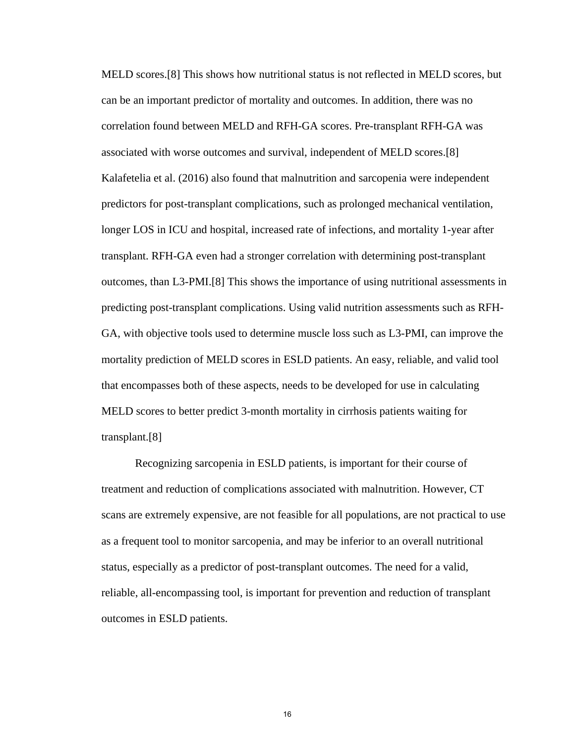MELD scores.[8] This shows how nutritional status is not reflected in MELD scores, but can be an important predictor of mortality and outcomes. In addition, there was no correlation found between MELD and RFH-GA scores. Pre-transplant RFH-GA was associated with worse outcomes and survival, independent of MELD scores.[8] Kalafetelia et al. (2016) also found that malnutrition and sarcopenia were independent predictors for post-transplant complications, such as prolonged mechanical ventilation, longer LOS in ICU and hospital, increased rate of infections, and mortality 1-year after transplant. RFH-GA even had a stronger correlation with determining post-transplant outcomes, than L3-PMI.[8] This shows the importance of using nutritional assessments in predicting post-transplant complications. Using valid nutrition assessments such as RFH-GA, with objective tools used to determine muscle loss such as L3-PMI, can improve the mortality prediction of MELD scores in ESLD patients. An easy, reliable, and valid tool that encompasses both of these aspects, needs to be developed for use in calculating MELD scores to better predict 3-month mortality in cirrhosis patients waiting for transplant.[8]

Recognizing sarcopenia in ESLD patients, is important for their course of treatment and reduction of complications associated with malnutrition. However, CT scans are extremely expensive, are not feasible for all populations, are not practical to use as a frequent tool to monitor sarcopenia, and may be inferior to an overall nutritional status, especially as a predictor of post-transplant outcomes. The need for a valid, reliable, all-encompassing tool, is important for prevention and reduction of transplant outcomes in ESLD patients.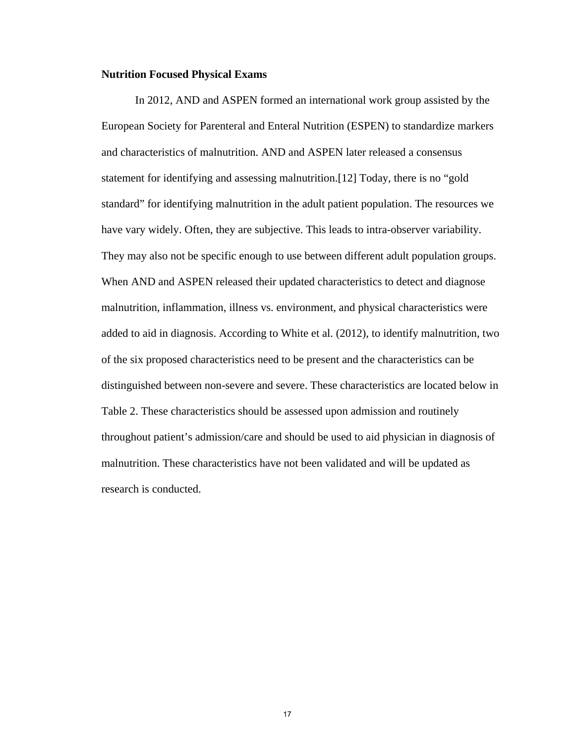#### **Nutrition Focused Physical Exams**

In 2012, AND and ASPEN formed an international work group assisted by the European Society for Parenteral and Enteral Nutrition (ESPEN) to standardize markers and characteristics of malnutrition. AND and ASPEN later released a consensus statement for identifying and assessing malnutrition.[12] Today, there is no "gold standard" for identifying malnutrition in the adult patient population. The resources we have vary widely. Often, they are subjective. This leads to intra-observer variability. They may also not be specific enough to use between different adult population groups. When AND and ASPEN released their updated characteristics to detect and diagnose malnutrition, inflammation, illness vs. environment, and physical characteristics were added to aid in diagnosis. According to White et al. (2012), to identify malnutrition, two of the six proposed characteristics need to be present and the characteristics can be distinguished between non-severe and severe. These characteristics are located below in Table 2. These characteristics should be assessed upon admission and routinely throughout patient's admission/care and should be used to aid physician in diagnosis of malnutrition. These characteristics have not been validated and will be updated as research is conducted.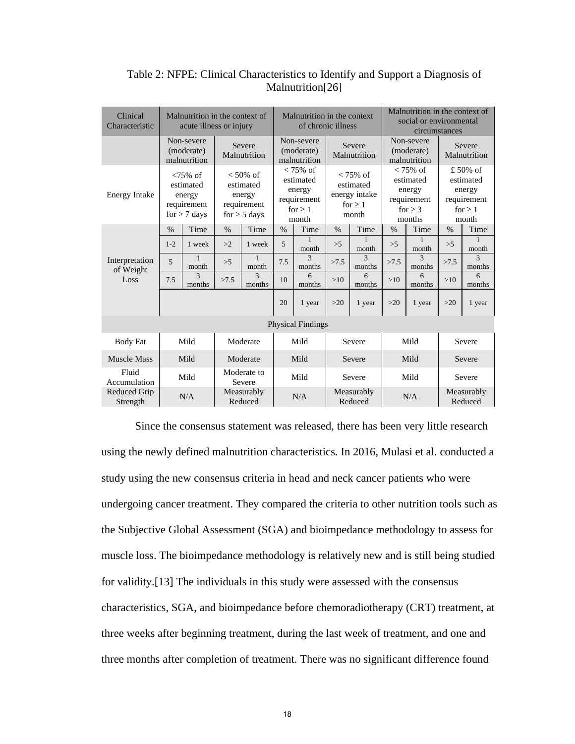| Clinical<br>Characteristic      | Malnutrition in the context of<br>acute illness or injury |                                                                     |                        | Malnutrition in the context<br>of chronic illness                      |                                                                            |                          |       | Malnutrition in the context of<br>social or environmental<br>circumstances |       |             |       |                         |  |  |                        |  |  |                                          |  |                                                                    |  |                                                                             |  |                                                                        |  |                       |
|---------------------------------|-----------------------------------------------------------|---------------------------------------------------------------------|------------------------|------------------------------------------------------------------------|----------------------------------------------------------------------------|--------------------------|-------|----------------------------------------------------------------------------|-------|-------------|-------|-------------------------|--|--|------------------------|--|--|------------------------------------------|--|--------------------------------------------------------------------|--|-----------------------------------------------------------------------------|--|------------------------------------------------------------------------|--|-----------------------|
|                                 | Non-severe<br>(moderate)<br>malnutrition                  |                                                                     | Severe<br>Malnutrition |                                                                        | Non-severe<br>(moderate)<br>malnutrition                                   |                          |       |                                                                            |       |             |       |                         |  |  | Severe<br>Malnutrition |  |  | Non-severe<br>(moderate)<br>malnutrition |  | Severe<br>Malnutrition                                             |  |                                                                             |  |                                                                        |  |                       |
| <b>Energy Intake</b>            |                                                           | $< 75\%$ of<br>estimated<br>energy<br>requirement<br>$for > 7$ days |                        | $< 50\%$ of<br>estimated<br>energy<br>requirement<br>for $\geq$ 5 days | $< 75\%$ of<br>estimated<br>energy<br>requirement<br>for $\geq 1$<br>month |                          |       |                                                                            |       |             |       |                         |  |  |                        |  |  |                                          |  | $< 75\%$ of<br>estimated<br>energy intake<br>for $\geq 1$<br>month |  | $< 75\%$ of<br>estimated<br>energy<br>requirement<br>for $\geq$ 3<br>months |  | £50% of<br>estimated<br>energy<br>requirement<br>for $\geq 1$<br>month |  |                       |
|                                 | $\%$                                                      | Time                                                                | $\%$                   | Time                                                                   | $\%$                                                                       | Time                     | $\%$  | Time                                                                       | $\%$  | Time        | $\%$  | Time                    |  |  |                        |  |  |                                          |  |                                                                    |  |                                                                             |  |                                                                        |  |                       |
|                                 | $1 - 2$                                                   | 1 week                                                              | >2                     | 1 week                                                                 | 5                                                                          | month                    | >5    | 1<br>month                                                                 | >5    | month       | >5    | month                   |  |  |                        |  |  |                                          |  |                                                                    |  |                                                                             |  |                                                                        |  |                       |
| Interpretation<br>of Weight     | $\overline{5}$                                            | 1<br>month                                                          | >5                     | $\mathbf{1}$<br>month                                                  | 7.5                                                                        | $\mathbf{3}$<br>months   | >7.5  | 3<br>months                                                                | >7.5  | 3<br>months | >7.5  | $\mathcal{R}$<br>months |  |  |                        |  |  |                                          |  |                                                                    |  |                                                                             |  |                                                                        |  |                       |
| Loss                            | 7.5                                                       | 3<br>months                                                         | >7.5                   | $\mathbf{3}$<br>months                                                 | 10                                                                         | 6<br>months              | >10   | 6<br>months                                                                | >10   | 6<br>months | >10   | 6<br>months             |  |  |                        |  |  |                                          |  |                                                                    |  |                                                                             |  |                                                                        |  |                       |
|                                 |                                                           |                                                                     |                        |                                                                        | 20                                                                         | 1 year                   | $>20$ | 1 year                                                                     | $>20$ | 1 year      | $>20$ | 1 year                  |  |  |                        |  |  |                                          |  |                                                                    |  |                                                                             |  |                                                                        |  |                       |
|                                 |                                                           |                                                                     |                        |                                                                        |                                                                            | <b>Physical Findings</b> |       |                                                                            |       |             |       |                         |  |  |                        |  |  |                                          |  |                                                                    |  |                                                                             |  |                                                                        |  |                       |
| <b>Body Fat</b>                 |                                                           | Mild<br>Moderate                                                    |                        | Mild<br>Severe                                                         |                                                                            |                          | Mild  |                                                                            |       | Severe      |       |                         |  |  |                        |  |  |                                          |  |                                                                    |  |                                                                             |  |                                                                        |  |                       |
| <b>Muscle Mass</b>              |                                                           | Mild                                                                |                        | Moderate                                                               |                                                                            | Mild                     |       | Severe                                                                     |       | Mild        |       | Severe                  |  |  |                        |  |  |                                          |  |                                                                    |  |                                                                             |  |                                                                        |  |                       |
| Fluid<br>Accumulation           |                                                           | Mild                                                                |                        | Moderate to<br>Severe                                                  |                                                                            | Mild                     |       | Severe                                                                     |       | Mild        |       | Severe                  |  |  |                        |  |  |                                          |  |                                                                    |  |                                                                             |  |                                                                        |  |                       |
| <b>Reduced Grip</b><br>Strength |                                                           | N/A                                                                 |                        | Measurably<br>Reduced                                                  | N/A                                                                        |                          |       |                                                                            |       |             |       |                         |  |  |                        |  |  |                                          |  |                                                                    |  | Measurably<br>Reduced                                                       |  | N/A                                                                    |  | Measurably<br>Reduced |

Table 2: NFPE: Clinical Characteristics to Identify and Support a Diagnosis of Malnutrition<sup>[26]</sup>

Since the consensus statement was released, there has been very little research using the newly defined malnutrition characteristics. In 2016, Mulasi et al. conducted a study using the new consensus criteria in head and neck cancer patients who were undergoing cancer treatment. They compared the criteria to other nutrition tools such as the Subjective Global Assessment (SGA) and bioimpedance methodology to assess for muscle loss. The bioimpedance methodology is relatively new and is still being studied for validity.[13] The individuals in this study were assessed with the consensus characteristics, SGA, and bioimpedance before chemoradiotherapy (CRT) treatment, at three weeks after beginning treatment, during the last week of treatment, and one and three months after completion of treatment. There was no significant difference found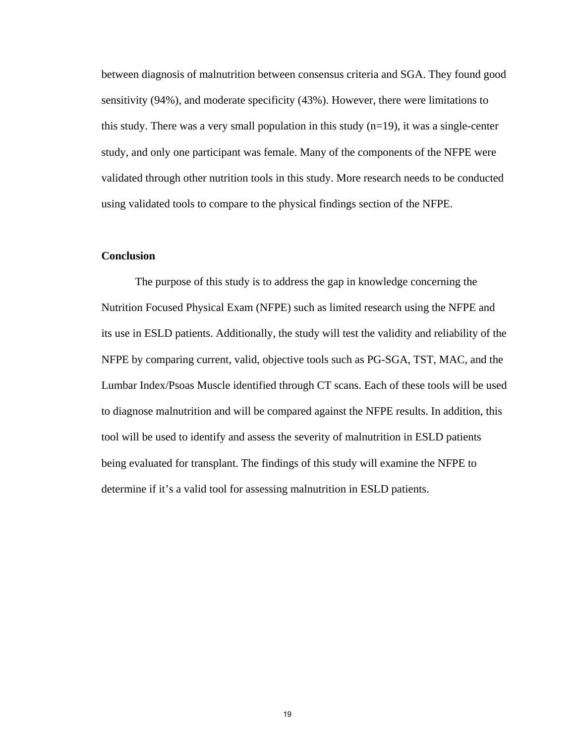between diagnosis of malnutrition between consensus criteria and SGA. They found good sensitivity (94%), and moderate specificity (43%). However, there were limitations to this study. There was a very small population in this study  $(n=19)$ , it was a single-center study, and only one participant was female. Many of the components of the NFPE were validated through other nutrition tools in this study. More research needs to be conducted using validated tools to compare to the physical findings section of the NFPE.

#### **Conclusion**

The purpose of this study is to address the gap in knowledge concerning the Nutrition Focused Physical Exam (NFPE) such as limited research using the NFPE and its use in ESLD patients. Additionally, the study will test the validity and reliability of the NFPE by comparing current, valid, objective tools such as PG-SGA, TST, MAC, and the Lumbar Index/Psoas Muscle identified through CT scans. Each of these tools will be used to diagnose malnutrition and will be compared against the NFPE results. In addition, this tool will be used to identify and assess the severity of malnutrition in ESLD patients being evaluated for transplant. The findings of this study will examine the NFPE to determine if it's a valid tool for assessing malnutrition in ESLD patients.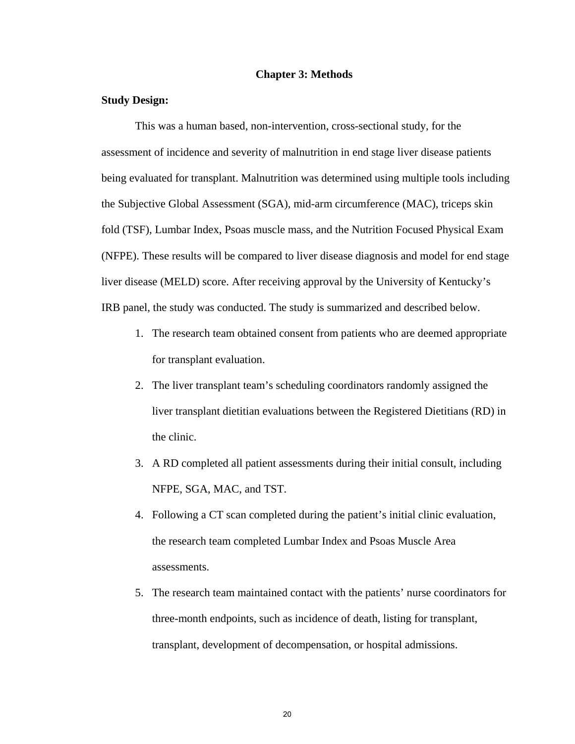#### **Chapter 3: Methods**

#### **Study Design:**

This was a human based, non-intervention, cross-sectional study, for the assessment of incidence and severity of malnutrition in end stage liver disease patients being evaluated for transplant. Malnutrition was determined using multiple tools including the Subjective Global Assessment (SGA), mid-arm circumference (MAC), triceps skin fold (TSF), Lumbar Index, Psoas muscle mass, and the Nutrition Focused Physical Exam (NFPE). These results will be compared to liver disease diagnosis and model for end stage liver disease (MELD) score. After receiving approval by the University of Kentucky's IRB panel, the study was conducted. The study is summarized and described below.

- 1. The research team obtained consent from patients who are deemed appropriate for transplant evaluation.
- 2. The liver transplant team's scheduling coordinators randomly assigned the liver transplant dietitian evaluations between the Registered Dietitians (RD) in the clinic.
- 3. A RD completed all patient assessments during their initial consult, including NFPE, SGA, MAC, and TST.
- 4. Following a CT scan completed during the patient's initial clinic evaluation, the research team completed Lumbar Index and Psoas Muscle Area assessments.
- 5. The research team maintained contact with the patients' nurse coordinators for three-month endpoints, such as incidence of death, listing for transplant, transplant, development of decompensation, or hospital admissions.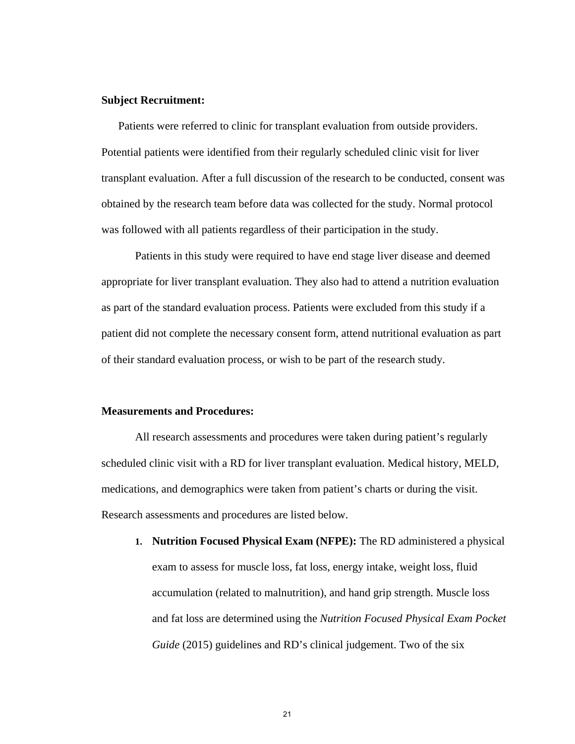#### **Subject Recruitment:**

Patients were referred to clinic for transplant evaluation from outside providers. Potential patients were identified from their regularly scheduled clinic visit for liver transplant evaluation. After a full discussion of the research to be conducted, consent was obtained by the research team before data was collected for the study. Normal protocol was followed with all patients regardless of their participation in the study.

Patients in this study were required to have end stage liver disease and deemed appropriate for liver transplant evaluation. They also had to attend a nutrition evaluation as part of the standard evaluation process. Patients were excluded from this study if a patient did not complete the necessary consent form, attend nutritional evaluation as part of their standard evaluation process, or wish to be part of the research study.

#### **Measurements and Procedures:**

All research assessments and procedures were taken during patient's regularly scheduled clinic visit with a RD for liver transplant evaluation. Medical history, MELD, medications, and demographics were taken from patient's charts or during the visit. Research assessments and procedures are listed below.

**1. Nutrition Focused Physical Exam (NFPE):** The RD administered a physical exam to assess for muscle loss, fat loss, energy intake, weight loss, fluid accumulation (related to malnutrition), and hand grip strength. Muscle loss and fat loss are determined using the *Nutrition Focused Physical Exam Pocket Guide* (2015) guidelines and RD's clinical judgement. Two of the six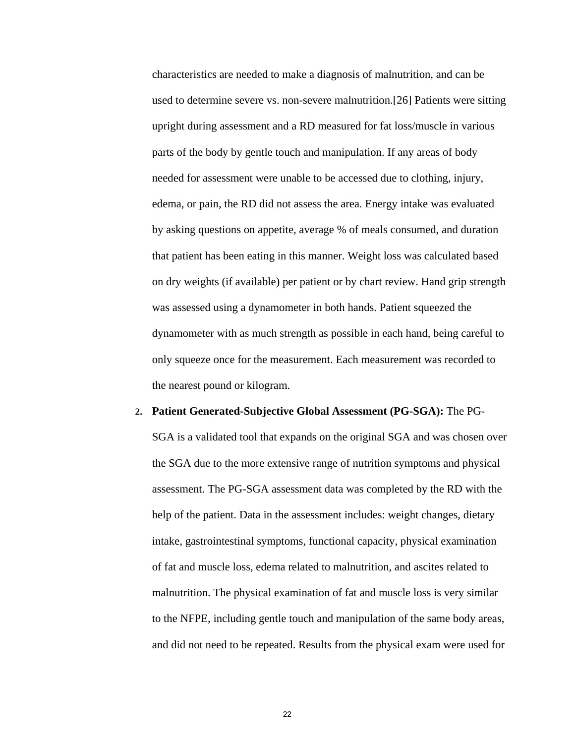characteristics are needed to make a diagnosis of malnutrition, and can be used to determine severe vs. non-severe malnutrition.[26] Patients were sitting upright during assessment and a RD measured for fat loss/muscle in various parts of the body by gentle touch and manipulation. If any areas of body needed for assessment were unable to be accessed due to clothing, injury, edema, or pain, the RD did not assess the area. Energy intake was evaluated by asking questions on appetite, average % of meals consumed, and duration that patient has been eating in this manner. Weight loss was calculated based on dry weights (if available) per patient or by chart review. Hand grip strength was assessed using a dynamometer in both hands. Patient squeezed the dynamometer with as much strength as possible in each hand, being careful to only squeeze once for the measurement. Each measurement was recorded to the nearest pound or kilogram.

#### **2. Patient Generated-Subjective Global Assessment (PG-SGA):** The PG-

SGA is a validated tool that expands on the original SGA and was chosen over the SGA due to the more extensive range of nutrition symptoms and physical assessment. The PG-SGA assessment data was completed by the RD with the help of the patient. Data in the assessment includes: weight changes, dietary intake, gastrointestinal symptoms, functional capacity, physical examination of fat and muscle loss, edema related to malnutrition, and ascites related to malnutrition. The physical examination of fat and muscle loss is very similar to the NFPE, including gentle touch and manipulation of the same body areas, and did not need to be repeated. Results from the physical exam were used for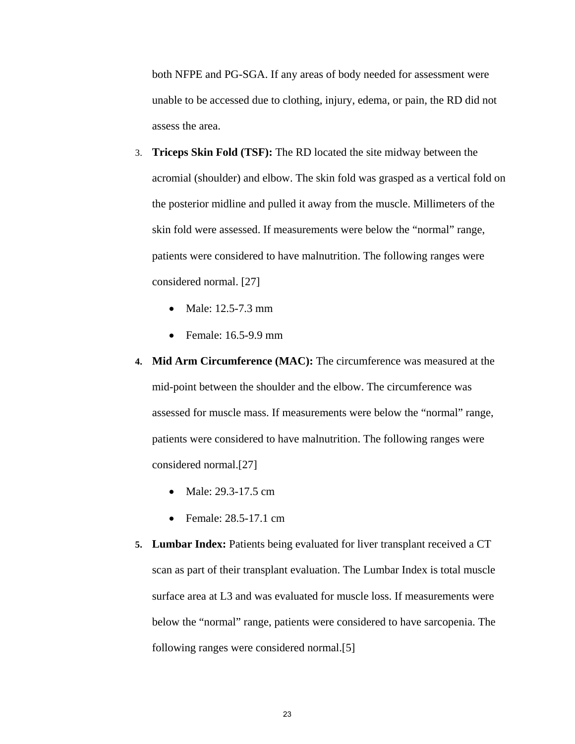both NFPE and PG-SGA. If any areas of body needed for assessment were unable to be accessed due to clothing, injury, edema, or pain, the RD did not assess the area.

- 3. **Triceps Skin Fold (TSF):** The RD located the site midway between the acromial (shoulder) and elbow. The skin fold was grasped as a vertical fold on the posterior midline and pulled it away from the muscle. Millimeters of the skin fold were assessed. If measurements were below the "normal" range, patients were considered to have malnutrition. The following ranges were considered normal. [27]
	- Male: 12.5-7.3 mm
	- Female: 16.5-9.9 mm
- **4. Mid Arm Circumference (MAC):** The circumference was measured at the mid-point between the shoulder and the elbow. The circumference was assessed for muscle mass. If measurements were below the "normal" range, patients were considered to have malnutrition. The following ranges were considered normal.[27]
	- Male: 29.3-17.5 cm
	- Female: 28.5-17.1 cm
- **5. Lumbar Index:** Patients being evaluated for liver transplant received a CT scan as part of their transplant evaluation. The Lumbar Index is total muscle surface area at L3 and was evaluated for muscle loss. If measurements were below the "normal" range, patients were considered to have sarcopenia. The following ranges were considered normal.[5]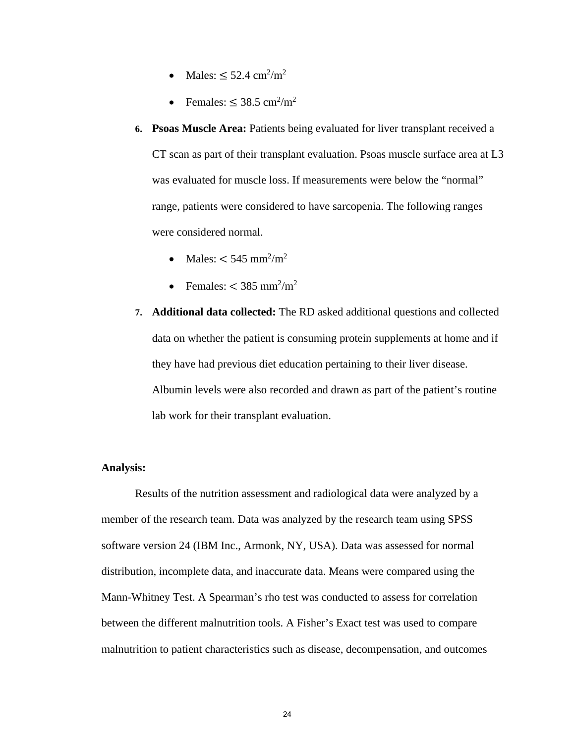- Males:  $\leq 52.4$  cm<sup>2</sup>/m<sup>2</sup>
- Females:  $\leq 38.5$  cm<sup>2</sup>/m<sup>2</sup>
- **6. Psoas Muscle Area:** Patients being evaluated for liver transplant received a CT scan as part of their transplant evaluation. Psoas muscle surface area at L3 was evaluated for muscle loss. If measurements were below the "normal" range, patients were considered to have sarcopenia. The following ranges were considered normal.
	- Males:  $< 545$  mm<sup>2</sup>/m<sup>2</sup>
	- Females:  $<$  385 mm<sup>2</sup>/m<sup>2</sup>
- **7. Additional data collected:** The RD asked additional questions and collected data on whether the patient is consuming protein supplements at home and if they have had previous diet education pertaining to their liver disease. Albumin levels were also recorded and drawn as part of the patient's routine lab work for their transplant evaluation.

#### **Analysis:**

Results of the nutrition assessment and radiological data were analyzed by a member of the research team. Data was analyzed by the research team using SPSS software version 24 (IBM Inc., Armonk, NY, USA). Data was assessed for normal distribution, incomplete data, and inaccurate data. Means were compared using the Mann-Whitney Test. A Spearman's rho test was conducted to assess for correlation between the different malnutrition tools. A Fisher's Exact test was used to compare malnutrition to patient characteristics such as disease, decompensation, and outcomes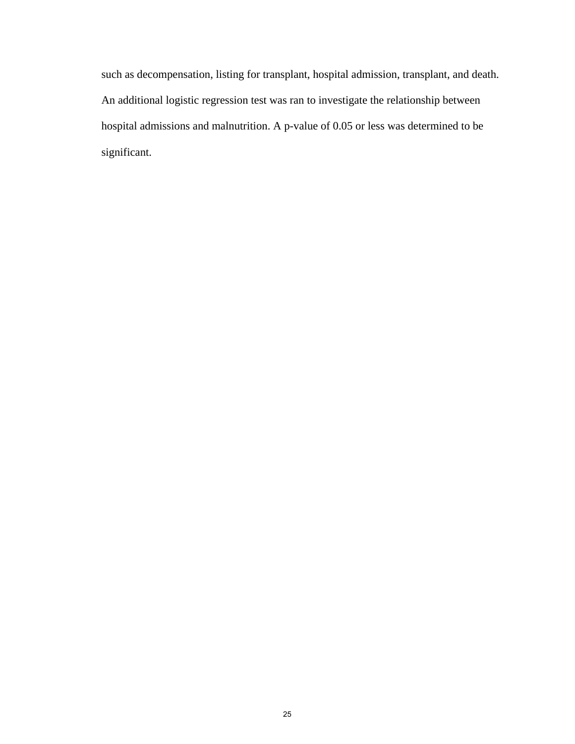such as decompensation, listing for transplant, hospital admission, transplant, and death. An additional logistic regression test was ran to investigate the relationship between hospital admissions and malnutrition. A p-value of 0.05 or less was determined to be significant.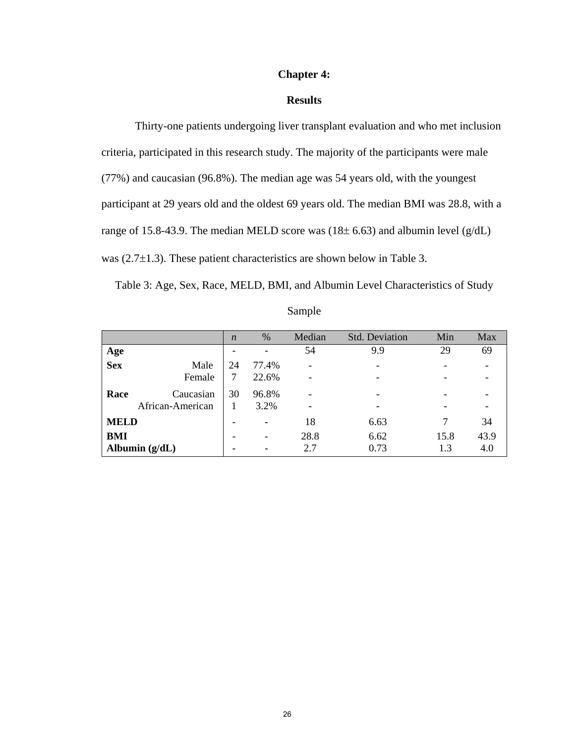#### **Chapter 4:**

#### **Results**

Thirty-one patients undergoing liver transplant evaluation and who met inclusion criteria, participated in this research study. The majority of the participants were male (77%) and caucasian (96.8%). The median age was 54 years old, with the youngest participant at 29 years old and the oldest 69 years old. The median BMI was 28.8, with a range of 15.8-43.9. The median MELD score was  $(18±6.63)$  and albumin level  $(g/dL)$ was  $(2.7\pm1.3)$ . These patient characteristics are shown below in Table 3.

Table 3: Age, Sex, Race, MELD, BMI, and Albumin Level Characteristics of Study

|             |                  | $\boldsymbol{n}$ | $\%$                     | Median                   | <b>Std. Deviation</b> | Min  | Max  |
|-------------|------------------|------------------|--------------------------|--------------------------|-----------------------|------|------|
| Age         |                  |                  |                          | 54                       | 9.9                   | 29   | 69   |
| <b>Sex</b>  | Male             | 24               | 77.4%                    | $\overline{\phantom{a}}$ |                       |      |      |
|             | Female           | 7                | 22.6%                    |                          |                       |      |      |
| Race        | Caucasian        | 30               | 96.8%                    | $\overline{\phantom{0}}$ |                       |      |      |
|             | African-American |                  | 3.2%                     |                          |                       |      |      |
| <b>MELD</b> |                  |                  | -                        | 18                       | 6.63                  |      | 34   |
| BMI         |                  |                  | $\overline{\phantom{0}}$ | 28.8                     | 6.62                  | 15.8 | 43.9 |
|             | Albumin $(g/dL)$ |                  | $\overline{\phantom{a}}$ | 2.7                      | 0.73                  | 1.3  | 4.0  |

| sampie |
|--------|
|--------|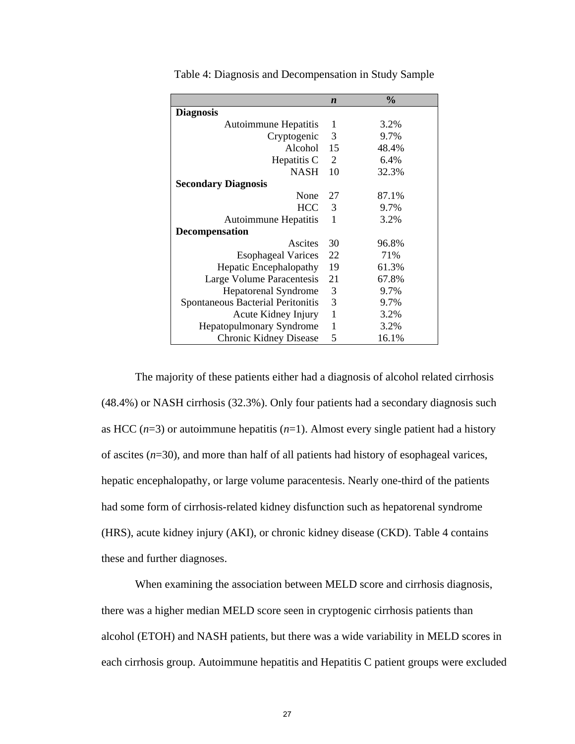|                                   | $\boldsymbol{n}$ | $\frac{0}{0}$ |
|-----------------------------------|------------------|---------------|
| <b>Diagnosis</b>                  |                  |               |
| <b>Autoimmune Hepatitis</b>       | 1                | 3.2%          |
| Cryptogenic                       | 3                | 9.7%          |
| Alcohol                           | 15               | 48.4%         |
| Hepatitis C                       | 2                | 6.4%          |
| <b>NASH</b>                       | 10               | 32.3%         |
| <b>Secondary Diagnosis</b>        |                  |               |
| None                              | 27               | 87.1%         |
| <b>HCC</b>                        | 3                | 9.7%          |
| <b>Autoimmune Hepatitis</b>       | 1                | 3.2%          |
| <b>Decompensation</b>             |                  |               |
| Ascites                           | 30               | 96.8%         |
| <b>Esophageal Varices</b>         | 22               | 71%           |
| <b>Hepatic Encephalopathy</b>     | 19               | 61.3%         |
| Large Volume Paracentesis         | 21               | 67.8%         |
| <b>Hepatorenal Syndrome</b>       | 3                | 9.7%          |
| Spontaneous Bacterial Peritonitis | 3                | 9.7%          |
| Acute Kidney Injury               | 1                | 3.2%          |
| <b>Hepatopulmonary Syndrome</b>   | $\mathbf{1}$     | 3.2%          |
| <b>Chronic Kidney Disease</b>     | 5                | 16.1%         |

Table 4: Diagnosis and Decompensation in Study Sample

The majority of these patients either had a diagnosis of alcohol related cirrhosis (48.4%) or NASH cirrhosis (32.3%). Only four patients had a secondary diagnosis such as HCC  $(n=3)$  or autoimmune hepatitis  $(n=1)$ . Almost every single patient had a history of ascites (*n*=30), and more than half of all patients had history of esophageal varices, hepatic encephalopathy, or large volume paracentesis. Nearly one-third of the patients had some form of cirrhosis-related kidney disfunction such as hepatorenal syndrome (HRS), acute kidney injury (AKI), or chronic kidney disease (CKD). Table 4 contains these and further diagnoses.

When examining the association between MELD score and cirrhosis diagnosis, there was a higher median MELD score seen in cryptogenic cirrhosis patients than alcohol (ETOH) and NASH patients, but there was a wide variability in MELD scores in each cirrhosis group. Autoimmune hepatitis and Hepatitis C patient groups were excluded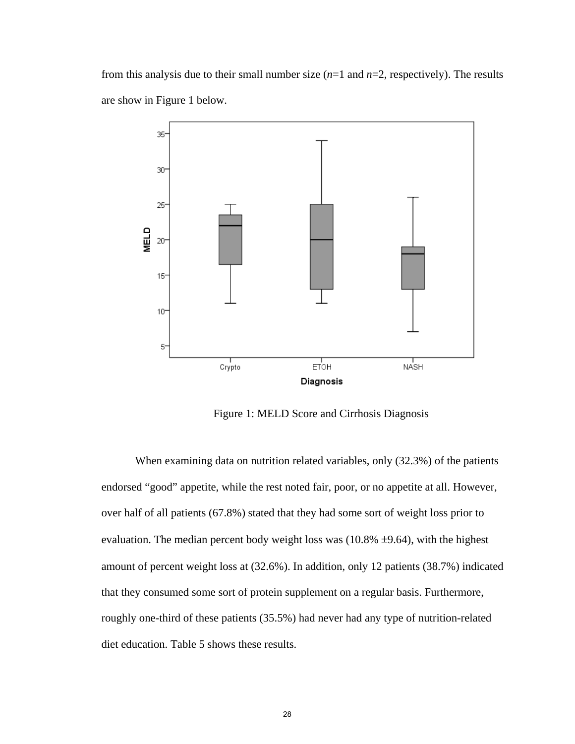from this analysis due to their small number size (*n*=1 and *n*=2, respectively). The results are show in Figure 1 below.



Figure 1: MELD Score and Cirrhosis Diagnosis

When examining data on nutrition related variables, only (32.3%) of the patients endorsed "good" appetite, while the rest noted fair, poor, or no appetite at all. However, over half of all patients (67.8%) stated that they had some sort of weight loss prior to evaluation. The median percent body weight loss was  $(10.8\% \pm 9.64)$ , with the highest amount of percent weight loss at (32.6%). In addition, only 12 patients (38.7%) indicated that they consumed some sort of protein supplement on a regular basis. Furthermore, roughly one-third of these patients (35.5%) had never had any type of nutrition-related diet education. Table 5 shows these results.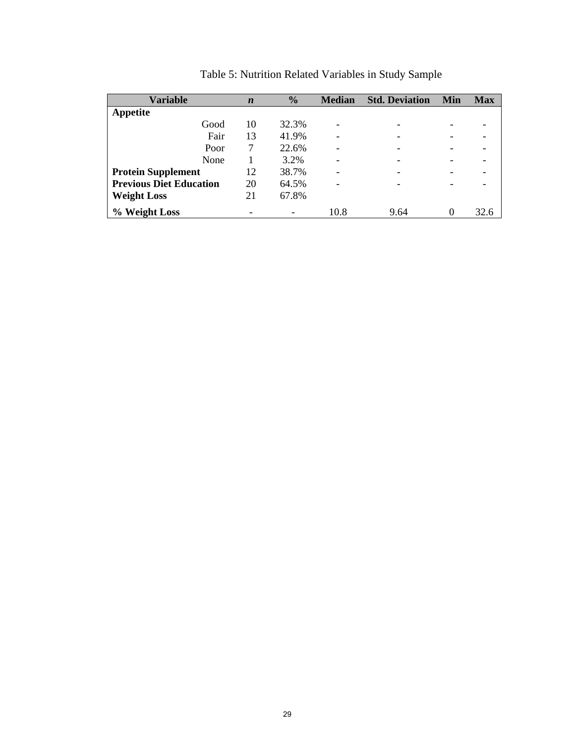| Variable                       | $\boldsymbol{n}$ | $\frac{6}{9}$ | <b>Median</b> | <b>Std. Deviation</b>    | Min      | <b>Max</b> |
|--------------------------------|------------------|---------------|---------------|--------------------------|----------|------------|
| <b>Appetite</b>                |                  |               |               |                          |          |            |
| Good                           | 10               | 32.3%         |               | -                        |          |            |
| Fair                           | 13               | 41.9%         |               | -                        |          |            |
| Poor                           | 7                | 22.6%         |               | $\overline{\phantom{0}}$ | ۰        |            |
| None                           |                  | 3.2%          |               | -                        |          |            |
| <b>Protein Supplement</b>      | 12               | 38.7%         |               | -                        |          |            |
| <b>Previous Diet Education</b> | 20               | 64.5%         |               | -                        |          |            |
| <b>Weight Loss</b>             | 21               | 67.8%         |               |                          |          |            |
| % Weight Loss                  |                  |               | 10.8          | 9.64                     | $\theta$ | 32.6       |

Table 5: Nutrition Related Variables in Study Sample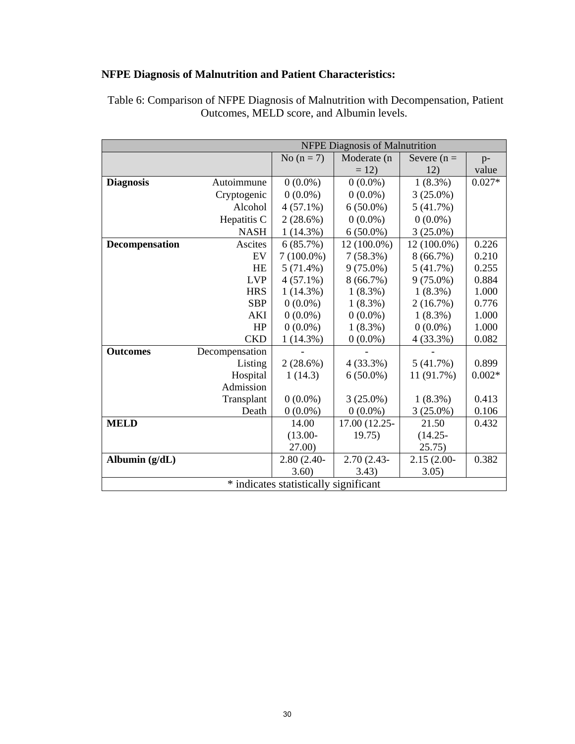## **NFPE Diagnosis of Malnutrition and Patient Characteristics:**

|                  |                |                                       | <b>NFPE Diagnosis of Malnutrition</b> |               |          |  |  |  |  |  |
|------------------|----------------|---------------------------------------|---------------------------------------|---------------|----------|--|--|--|--|--|
|                  |                | No $(n=7)$                            | Moderate (n                           | Severe $(n =$ | $p-$     |  |  |  |  |  |
|                  |                |                                       | $= 12$                                | 12)           | value    |  |  |  |  |  |
| <b>Diagnosis</b> | Autoimmune     | $0(0.0\%)$                            | $0(0.0\%)$                            | 1(8.3%)       | $0.027*$ |  |  |  |  |  |
|                  | Cryptogenic    | $0(0.0\%)$                            | $0(0.0\%)$                            | $3(25.0\%)$   |          |  |  |  |  |  |
|                  | Alcohol        | $4(57.1\%)$                           | $6(50.0\%)$                           | 5(41.7%)      |          |  |  |  |  |  |
|                  | Hepatitis C    | 2(28.6%)                              | $0(0.0\%)$                            | $0(0.0\%)$    |          |  |  |  |  |  |
|                  | <b>NASH</b>    | 1(14.3%)                              | $6(50.0\%)$                           | $3(25.0\%)$   |          |  |  |  |  |  |
| Decompensation   | Ascites        | 6(85.7%)                              | 12 (100.0%)                           | 12 (100.0%)   | 0.226    |  |  |  |  |  |
|                  | EV             | $7(100.0\%)$                          | 7(58.3%)                              | 8(66.7%)      | 0.210    |  |  |  |  |  |
|                  | <b>HE</b>      | $5(71.4\%)$                           | $9(75.0\%)$                           | 5(41.7%)      | 0.255    |  |  |  |  |  |
|                  | <b>LVP</b>     | $4(57.1\%)$                           | 8(66.7%)                              | $9(75.0\%)$   | 0.884    |  |  |  |  |  |
|                  | <b>HRS</b>     | 1(14.3%)                              | $1(8.3\%)$                            | $1(8.3\%)$    | 1.000    |  |  |  |  |  |
|                  | <b>SBP</b>     | $0(0.0\%)$                            | $1(8.3\%)$                            | 2(16.7%)      | 0.776    |  |  |  |  |  |
|                  | AKI            | $0(0.0\%)$                            | $0(0.0\%)$                            | $1(8.3\%)$    | 1.000    |  |  |  |  |  |
|                  | HP             | $0(0.0\%)$                            | 1(8.3%)                               | $0(0.0\%)$    | 1.000    |  |  |  |  |  |
|                  | <b>CKD</b>     | 1(14.3%)                              | $0(0.0\%)$                            | 4(33.3%)      | 0.082    |  |  |  |  |  |
| <b>Outcomes</b>  | Decompensation |                                       |                                       |               |          |  |  |  |  |  |
|                  | Listing        | $2(28.6\%)$                           | $4(33.3\%)$                           | 5(41.7%)      | 0.899    |  |  |  |  |  |
|                  | Hospital       | 1(14.3)                               | $6(50.0\%)$                           | 11 (91.7%)    | $0.002*$ |  |  |  |  |  |
|                  | Admission      |                                       |                                       |               |          |  |  |  |  |  |
|                  | Transplant     | $0(0.0\%)$                            | $3(25.0\%)$                           | $1(8.3\%)$    | 0.413    |  |  |  |  |  |
|                  | Death          | $0(0.0\%)$                            | $0(0.0\%)$                            | $3(25.0\%)$   | 0.106    |  |  |  |  |  |
| <b>MELD</b>      |                | 14.00                                 | 17.00 (12.25-                         | 21.50         | 0.432    |  |  |  |  |  |
|                  |                | $(13.00 -$                            | 19.75)                                | $(14.25 -$    |          |  |  |  |  |  |
|                  |                | 27.00)                                |                                       | 25.75)        |          |  |  |  |  |  |
| Albumin (g/dL)   |                | 2.80 (2.40-                           | 2.70 (2.43-                           | $2.15(2.00 -$ | 0.382    |  |  |  |  |  |
|                  |                | 3.60)                                 | 3.43)                                 | 3.05)         |          |  |  |  |  |  |
|                  |                | * indicates statistically significant |                                       |               |          |  |  |  |  |  |

 Table 6: Comparison of NFPE Diagnosis of Malnutrition with Decompensation, Patient Outcomes, MELD score, and Albumin levels.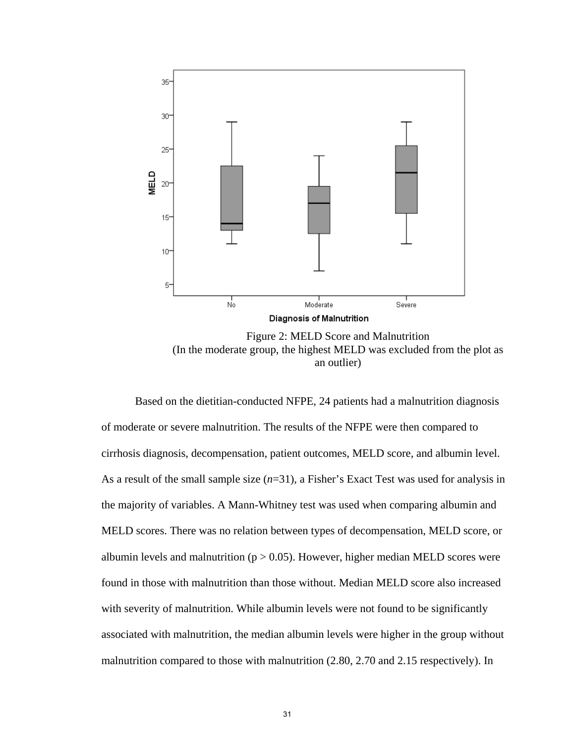

Figure 2: MELD Score and Malnutrition (In the moderate group, the highest MELD was excluded from the plot as an outlier)

Based on the dietitian-conducted NFPE, 24 patients had a malnutrition diagnosis of moderate or severe malnutrition. The results of the NFPE were then compared to cirrhosis diagnosis, decompensation, patient outcomes, MELD score, and albumin level. As a result of the small sample size (*n*=31), a Fisher's Exact Test was used for analysis in the majority of variables. A Mann-Whitney test was used when comparing albumin and MELD scores. There was no relation between types of decompensation, MELD score, or albumin levels and malnutrition ( $p > 0.05$ ). However, higher median MELD scores were found in those with malnutrition than those without. Median MELD score also increased with severity of malnutrition. While albumin levels were not found to be significantly associated with malnutrition, the median albumin levels were higher in the group without malnutrition compared to those with malnutrition (2.80, 2.70 and 2.15 respectively). In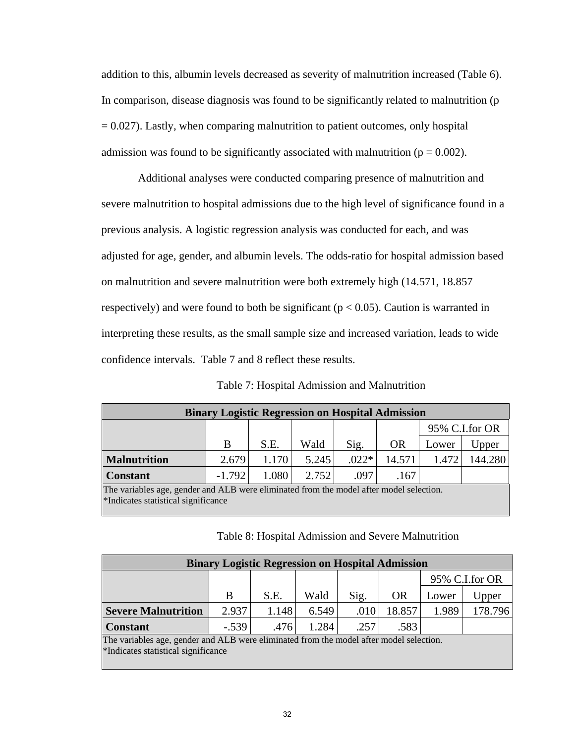addition to this, albumin levels decreased as severity of malnutrition increased (Table 6). In comparison, disease diagnosis was found to be significantly related to malnutrition (p  $= 0.027$ ). Lastly, when comparing malnutrition to patient outcomes, only hospital admission was found to be significantly associated with malnutrition ( $p = 0.002$ ).

 Additional analyses were conducted comparing presence of malnutrition and severe malnutrition to hospital admissions due to the high level of significance found in a previous analysis. A logistic regression analysis was conducted for each, and was adjusted for age, gender, and albumin levels. The odds-ratio for hospital admission based on malnutrition and severe malnutrition were both extremely high (14.571, 18.857 respectively) and were found to both be significant ( $p < 0.05$ ). Caution is warranted in interpreting these results, as the small sample size and increased variation, leads to wide confidence intervals. Table 7 and 8 reflect these results.

| <b>Binary Logistic Regression on Hospital Admission</b>                                                                        |          |       |       |         |           |       |                |  |
|--------------------------------------------------------------------------------------------------------------------------------|----------|-------|-------|---------|-----------|-------|----------------|--|
|                                                                                                                                |          |       |       |         |           |       | 95% C.I.for OR |  |
|                                                                                                                                | B        | S.E.  | Wald  | Sig.    | <b>OR</b> | Lower | Upper          |  |
| <b>Malnutrition</b>                                                                                                            | 2.679    | 1.170 | 5.245 | $.022*$ | 14.571    | 1.472 | 144.280        |  |
| <b>Constant</b>                                                                                                                | $-1.792$ | 1.080 | 2.752 | .097    | .167      |       |                |  |
| The variables age, gender and ALB were eliminated from the model after model selection.<br>*Indicates statistical significance |          |       |       |         |           |       |                |  |

Table 7: Hospital Admission and Malnutrition

| Table 8: Hospital Admission and Severe Malnutrition |  |
|-----------------------------------------------------|--|
|-----------------------------------------------------|--|

| <b>Binary Logistic Regression on Hospital Admission</b>                                                                        |         |       |       |      |        |                |         |
|--------------------------------------------------------------------------------------------------------------------------------|---------|-------|-------|------|--------|----------------|---------|
|                                                                                                                                |         |       |       |      |        | 95% C.I.for OR |         |
|                                                                                                                                | В       | S.E.  | Wald  | Sig. | OR     | Lower          | Upper   |
| <b>Severe Malnutrition</b>                                                                                                     | 2.937   | 1.148 | 6.549 | .010 | 18.857 | 1.989          | 178.796 |
| <b>Constant</b>                                                                                                                | $-.539$ | .476  | 1.284 | .257 | .583   |                |         |
| The variables age, gender and ALB were eliminated from the model after model selection.<br>*Indicates statistical significance |         |       |       |      |        |                |         |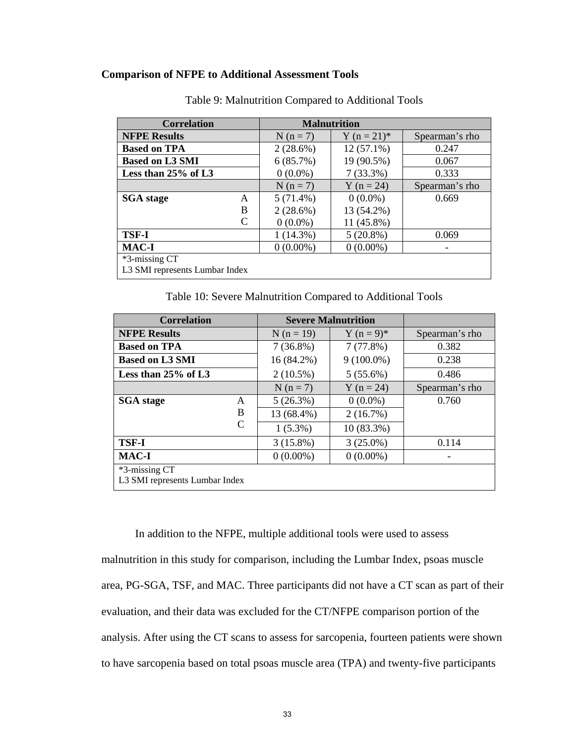#### **Comparison of NFPE to Additional Assessment Tools**

| <b>Correlation</b>             |             | <b>Malnutrition</b> |                |
|--------------------------------|-------------|---------------------|----------------|
| <b>NFPE Results</b>            | $N(n=7)$    | Y $(n = 21)^*$      | Spearman's rho |
| <b>Based on TPA</b>            | 2(28.6%)    | $12(57.1\%)$        | 0.247          |
| <b>Based on L3 SMI</b>         | 6(85.7%)    | 19 (90.5%)          | 0.067          |
| Less than $25\%$ of L3         | $0(0.0\%)$  | $7(33.3\%)$         | 0.333          |
|                                | $N(n=7)$    | $Y (n = 24)$        | Spearman's rho |
| <b>SGA</b> stage<br>A          | $5(71.4\%)$ | $0(0.0\%)$          | 0.669          |
| B                              | $2(28.6\%)$ | 13 (54.2%)          |                |
| $\mathcal{C}_{\mathcal{C}}$    | $0(0.0\%)$  | 11 (45.8%)          |                |
| <b>TSF-I</b>                   | 1(14.3%)    | $5(20.8\%)$         | 0.069          |
| <b>MAC-I</b>                   | $0(0.00\%)$ | $0(0.00\%)$         |                |
| *3-missing CT                  |             |                     |                |
| L3 SMI represents Lumbar Index |             |                     |                |

Table 9: Malnutrition Compared to Additional Tools

Table 10: Severe Malnutrition Compared to Additional Tools

| <b>Correlation</b>             |   |              | <b>Severe Malnutrition</b> |                |  |  |  |
|--------------------------------|---|--------------|----------------------------|----------------|--|--|--|
| <b>NFPE Results</b>            |   | $N (n = 19)$ | $Y(n=9)^*$                 | Spearman's rho |  |  |  |
| <b>Based on TPA</b>            |   | $7(36.8\%)$  | 7(77.8%)                   | 0.382          |  |  |  |
| <b>Based on L3 SMI</b>         |   | 16 (84.2%)   | $9(100.0\%)$               | 0.238          |  |  |  |
| Less than $25\%$ of L3         |   | $2(10.5\%)$  | $5(55.6\%)$                | 0.486          |  |  |  |
|                                |   | $N(n=7)$     | $Y (n = 24)$               | Spearman's rho |  |  |  |
| <b>SGA</b> stage               | A | 5(26.3%)     | $0(0.0\%)$                 | 0.760          |  |  |  |
|                                | B | 13 (68.4%)   | 2(16.7%)                   |                |  |  |  |
|                                | C | $1(5.3\%)$   | 10 (83.3%)                 |                |  |  |  |
| <b>TSF-I</b>                   |   | $3(15.8\%)$  | $3(25.0\%)$                | 0.114          |  |  |  |
| <b>MAC-I</b>                   |   | $0(0.00\%)$  | $0(0.00\%)$                |                |  |  |  |
| *3-missing CT                  |   |              |                            |                |  |  |  |
| L3 SMI represents Lumbar Index |   |              |                            |                |  |  |  |

In addition to the NFPE, multiple additional tools were used to assess malnutrition in this study for comparison, including the Lumbar Index, psoas muscle area, PG-SGA, TSF, and MAC. Three participants did not have a CT scan as part of their evaluation, and their data was excluded for the CT/NFPE comparison portion of the analysis. After using the CT scans to assess for sarcopenia, fourteen patients were shown to have sarcopenia based on total psoas muscle area (TPA) and twenty-five participants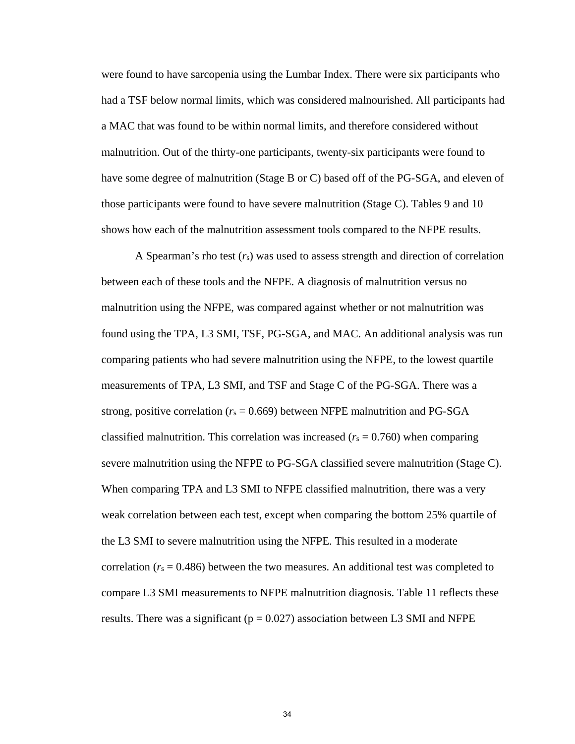were found to have sarcopenia using the Lumbar Index. There were six participants who had a TSF below normal limits, which was considered malnourished. All participants had a MAC that was found to be within normal limits, and therefore considered without malnutrition. Out of the thirty-one participants, twenty-six participants were found to have some degree of malnutrition (Stage B or C) based off of the PG-SGA, and eleven of those participants were found to have severe malnutrition (Stage C). Tables 9 and 10 shows how each of the malnutrition assessment tools compared to the NFPE results.

 A Spearman's rho test (*r*s) was used to assess strength and direction of correlation between each of these tools and the NFPE. A diagnosis of malnutrition versus no malnutrition using the NFPE, was compared against whether or not malnutrition was found using the TPA, L3 SMI, TSF, PG-SGA, and MAC. An additional analysis was run comparing patients who had severe malnutrition using the NFPE, to the lowest quartile measurements of TPA, L3 SMI, and TSF and Stage C of the PG-SGA. There was a strong, positive correlation ( $r_s = 0.669$ ) between NFPE malnutrition and PG-SGA classified malnutrition. This correlation was increased ( $r_s = 0.760$ ) when comparing severe malnutrition using the NFPE to PG-SGA classified severe malnutrition (Stage C). When comparing TPA and L3 SMI to NFPE classified malnutrition, there was a very weak correlation between each test, except when comparing the bottom 25% quartile of the L3 SMI to severe malnutrition using the NFPE. This resulted in a moderate correlation ( $r_s = 0.486$ ) between the two measures. An additional test was completed to compare L3 SMI measurements to NFPE malnutrition diagnosis. Table 11 reflects these results. There was a significant ( $p = 0.027$ ) association between L3 SMI and NFPE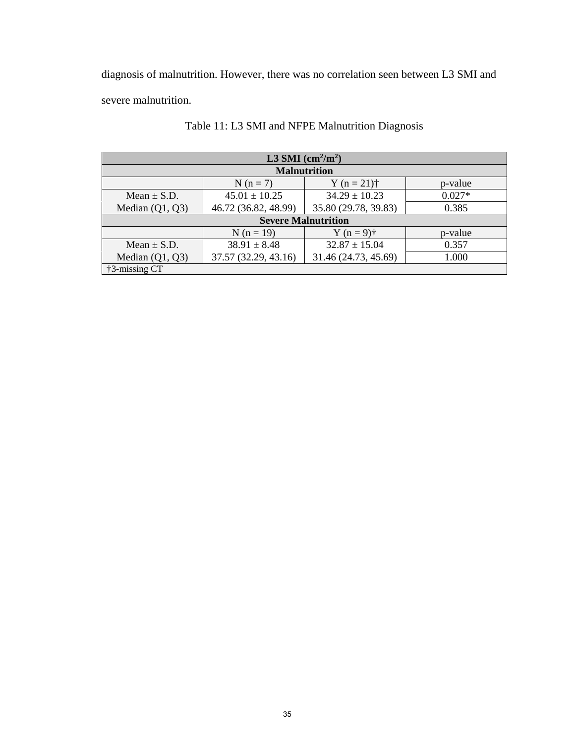diagnosis of malnutrition. However, there was no correlation seen between L3 SMI and severe malnutrition.

| L3 SMI $\text{(cm}^2\text{/m}^2)$ |                            |                      |          |  |  |  |  |  |
|-----------------------------------|----------------------------|----------------------|----------|--|--|--|--|--|
| <b>Malnutrition</b>               |                            |                      |          |  |  |  |  |  |
|                                   | $N(n=7)$                   | Y ( $n = 21$ )†      | p-value  |  |  |  |  |  |
| Mean $\pm$ S.D.                   | $45.01 \pm 10.25$          | $34.29 \pm 10.23$    | $0.027*$ |  |  |  |  |  |
| Median $(Q1, Q3)$                 | 46.72 (36.82, 48.99)       | 35.80 (29.78, 39.83) | 0.385    |  |  |  |  |  |
|                                   | <b>Severe Malnutrition</b> |                      |          |  |  |  |  |  |
|                                   | $N(n = 19)$                | $Y(n = 9)$ †         | p-value  |  |  |  |  |  |
| Mean $\pm$ S.D.                   | $38.91 \pm 8.48$           | $32.87 \pm 15.04$    | 0.357    |  |  |  |  |  |
| Median $(Q1, Q3)$                 | 37.57 (32.29, 43.16)       | 31.46 (24.73, 45.69) | 1.000    |  |  |  |  |  |
| $\uparrow$ 3-missing CT           |                            |                      |          |  |  |  |  |  |

# Table 11: L3 SMI and NFPE Malnutrition Diagnosis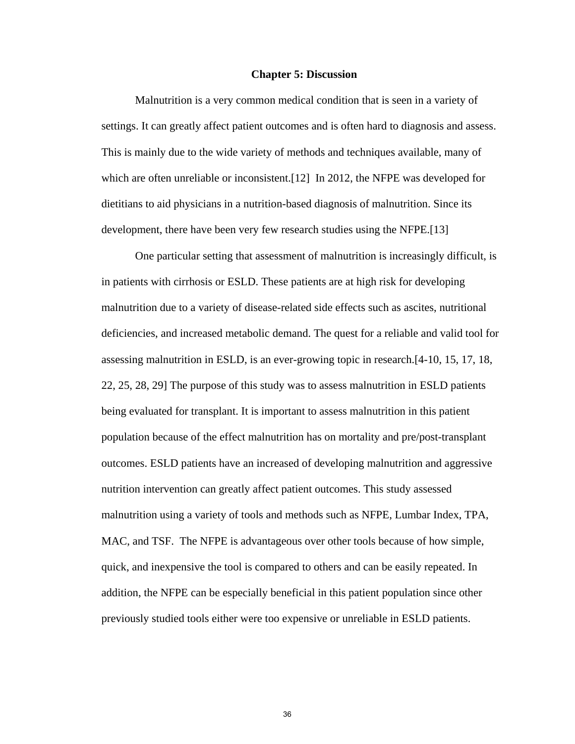#### **Chapter 5: Discussion**

 Malnutrition is a very common medical condition that is seen in a variety of settings. It can greatly affect patient outcomes and is often hard to diagnosis and assess. This is mainly due to the wide variety of methods and techniques available, many of which are often unreliable or inconsistent.[12] In 2012, the NFPE was developed for dietitians to aid physicians in a nutrition-based diagnosis of malnutrition. Since its development, there have been very few research studies using the NFPE.[13]

One particular setting that assessment of malnutrition is increasingly difficult, is in patients with cirrhosis or ESLD. These patients are at high risk for developing malnutrition due to a variety of disease-related side effects such as ascites, nutritional deficiencies, and increased metabolic demand. The quest for a reliable and valid tool for assessing malnutrition in ESLD, is an ever-growing topic in research.[4-10, 15, 17, 18, 22, 25, 28, 29] The purpose of this study was to assess malnutrition in ESLD patients being evaluated for transplant. It is important to assess malnutrition in this patient population because of the effect malnutrition has on mortality and pre/post-transplant outcomes. ESLD patients have an increased of developing malnutrition and aggressive nutrition intervention can greatly affect patient outcomes. This study assessed malnutrition using a variety of tools and methods such as NFPE, Lumbar Index, TPA, MAC, and TSF. The NFPE is advantageous over other tools because of how simple, quick, and inexpensive the tool is compared to others and can be easily repeated. In addition, the NFPE can be especially beneficial in this patient population since other previously studied tools either were too expensive or unreliable in ESLD patients.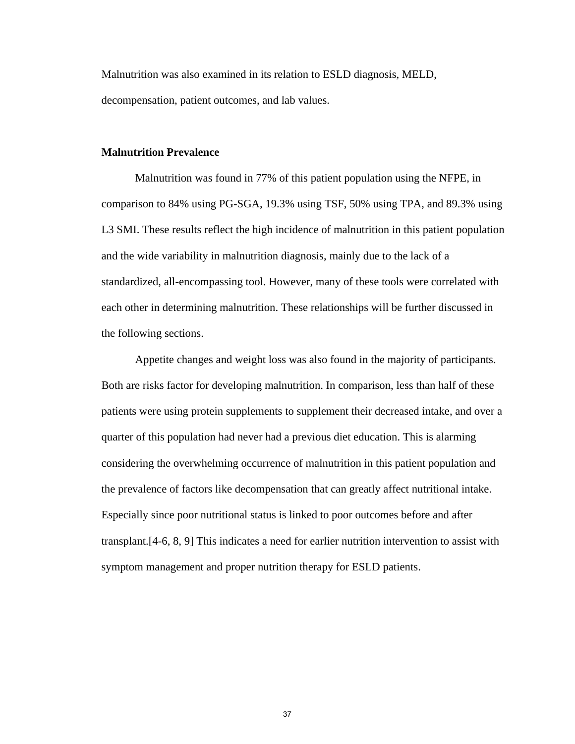Malnutrition was also examined in its relation to ESLD diagnosis, MELD, decompensation, patient outcomes, and lab values.

#### **Malnutrition Prevalence**

Malnutrition was found in 77% of this patient population using the NFPE, in comparison to 84% using PG-SGA, 19.3% using TSF, 50% using TPA, and 89.3% using L3 SMI. These results reflect the high incidence of malnutrition in this patient population and the wide variability in malnutrition diagnosis, mainly due to the lack of a standardized, all-encompassing tool. However, many of these tools were correlated with each other in determining malnutrition. These relationships will be further discussed in the following sections.

Appetite changes and weight loss was also found in the majority of participants. Both are risks factor for developing malnutrition. In comparison, less than half of these patients were using protein supplements to supplement their decreased intake, and over a quarter of this population had never had a previous diet education. This is alarming considering the overwhelming occurrence of malnutrition in this patient population and the prevalence of factors like decompensation that can greatly affect nutritional intake. Especially since poor nutritional status is linked to poor outcomes before and after transplant.[4-6, 8, 9] This indicates a need for earlier nutrition intervention to assist with symptom management and proper nutrition therapy for ESLD patients.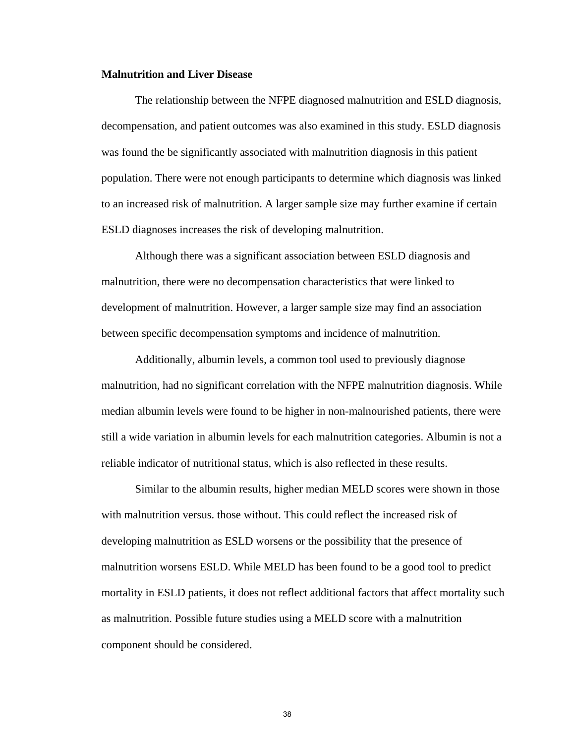#### **Malnutrition and Liver Disease**

 The relationship between the NFPE diagnosed malnutrition and ESLD diagnosis, decompensation, and patient outcomes was also examined in this study. ESLD diagnosis was found the be significantly associated with malnutrition diagnosis in this patient population. There were not enough participants to determine which diagnosis was linked to an increased risk of malnutrition. A larger sample size may further examine if certain ESLD diagnoses increases the risk of developing malnutrition.

Although there was a significant association between ESLD diagnosis and malnutrition, there were no decompensation characteristics that were linked to development of malnutrition. However, a larger sample size may find an association between specific decompensation symptoms and incidence of malnutrition.

Additionally, albumin levels, a common tool used to previously diagnose malnutrition, had no significant correlation with the NFPE malnutrition diagnosis. While median albumin levels were found to be higher in non-malnourished patients, there were still a wide variation in albumin levels for each malnutrition categories. Albumin is not a reliable indicator of nutritional status, which is also reflected in these results.

Similar to the albumin results, higher median MELD scores were shown in those with malnutrition versus. those without. This could reflect the increased risk of developing malnutrition as ESLD worsens or the possibility that the presence of malnutrition worsens ESLD. While MELD has been found to be a good tool to predict mortality in ESLD patients, it does not reflect additional factors that affect mortality such as malnutrition. Possible future studies using a MELD score with a malnutrition component should be considered.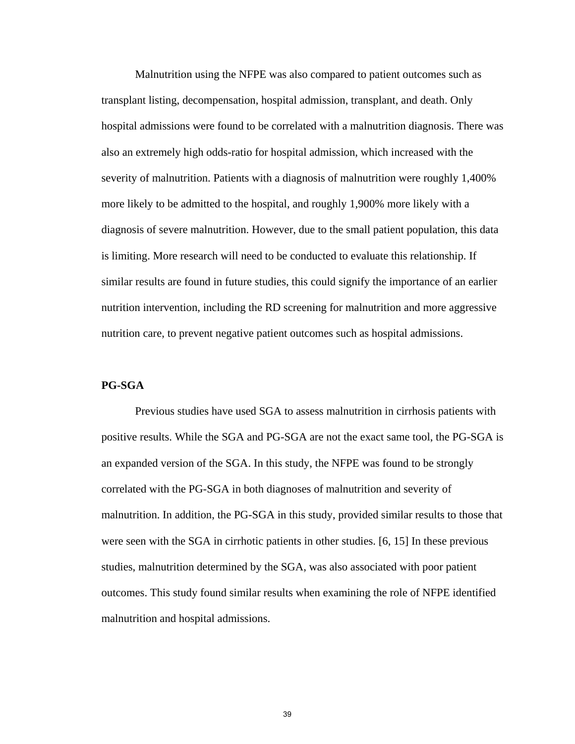Malnutrition using the NFPE was also compared to patient outcomes such as transplant listing, decompensation, hospital admission, transplant, and death. Only hospital admissions were found to be correlated with a malnutrition diagnosis. There was also an extremely high odds-ratio for hospital admission, which increased with the severity of malnutrition. Patients with a diagnosis of malnutrition were roughly 1,400% more likely to be admitted to the hospital, and roughly 1,900% more likely with a diagnosis of severe malnutrition. However, due to the small patient population, this data is limiting. More research will need to be conducted to evaluate this relationship. If similar results are found in future studies, this could signify the importance of an earlier nutrition intervention, including the RD screening for malnutrition and more aggressive nutrition care, to prevent negative patient outcomes such as hospital admissions.

#### **PG-SGA**

Previous studies have used SGA to assess malnutrition in cirrhosis patients with positive results. While the SGA and PG-SGA are not the exact same tool, the PG-SGA is an expanded version of the SGA. In this study, the NFPE was found to be strongly correlated with the PG-SGA in both diagnoses of malnutrition and severity of malnutrition. In addition, the PG-SGA in this study, provided similar results to those that were seen with the SGA in cirrhotic patients in other studies. [6, 15] In these previous studies, malnutrition determined by the SGA, was also associated with poor patient outcomes. This study found similar results when examining the role of NFPE identified malnutrition and hospital admissions.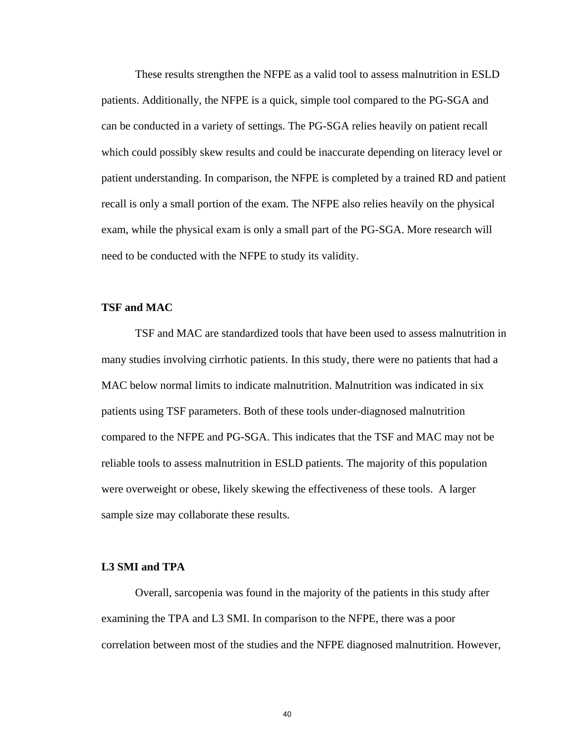These results strengthen the NFPE as a valid tool to assess malnutrition in ESLD patients. Additionally, the NFPE is a quick, simple tool compared to the PG-SGA and can be conducted in a variety of settings. The PG-SGA relies heavily on patient recall which could possibly skew results and could be inaccurate depending on literacy level or patient understanding. In comparison, the NFPE is completed by a trained RD and patient recall is only a small portion of the exam. The NFPE also relies heavily on the physical exam, while the physical exam is only a small part of the PG-SGA. More research will need to be conducted with the NFPE to study its validity.

#### **TSF and MAC**

 TSF and MAC are standardized tools that have been used to assess malnutrition in many studies involving cirrhotic patients. In this study, there were no patients that had a MAC below normal limits to indicate malnutrition. Malnutrition was indicated in six patients using TSF parameters. Both of these tools under-diagnosed malnutrition compared to the NFPE and PG-SGA. This indicates that the TSF and MAC may not be reliable tools to assess malnutrition in ESLD patients. The majority of this population were overweight or obese, likely skewing the effectiveness of these tools. A larger sample size may collaborate these results.

#### **L3 SMI and TPA**

 Overall, sarcopenia was found in the majority of the patients in this study after examining the TPA and L3 SMI. In comparison to the NFPE, there was a poor correlation between most of the studies and the NFPE diagnosed malnutrition. However,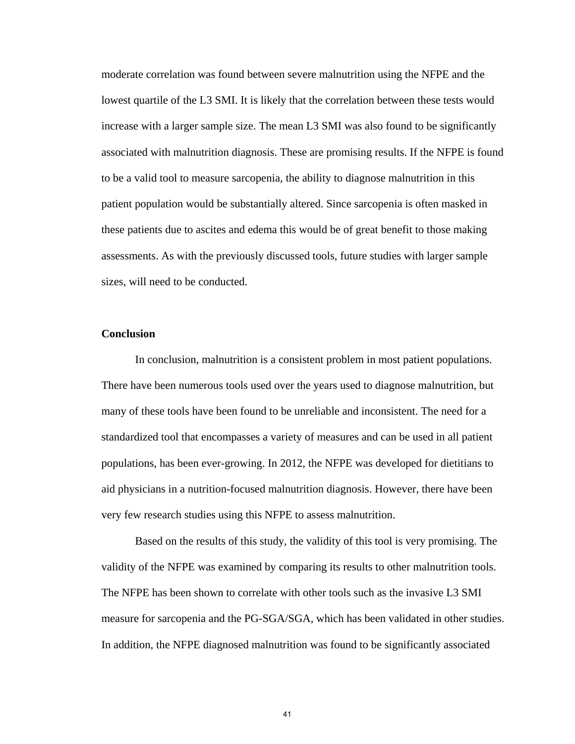moderate correlation was found between severe malnutrition using the NFPE and the lowest quartile of the L3 SMI. It is likely that the correlation between these tests would increase with a larger sample size. The mean L3 SMI was also found to be significantly associated with malnutrition diagnosis. These are promising results. If the NFPE is found to be a valid tool to measure sarcopenia, the ability to diagnose malnutrition in this patient population would be substantially altered. Since sarcopenia is often masked in these patients due to ascites and edema this would be of great benefit to those making assessments. As with the previously discussed tools, future studies with larger sample sizes, will need to be conducted.

#### **Conclusion**

 In conclusion, malnutrition is a consistent problem in most patient populations. There have been numerous tools used over the years used to diagnose malnutrition, but many of these tools have been found to be unreliable and inconsistent. The need for a standardized tool that encompasses a variety of measures and can be used in all patient populations, has been ever-growing. In 2012, the NFPE was developed for dietitians to aid physicians in a nutrition-focused malnutrition diagnosis. However, there have been very few research studies using this NFPE to assess malnutrition.

Based on the results of this study, the validity of this tool is very promising. The validity of the NFPE was examined by comparing its results to other malnutrition tools. The NFPE has been shown to correlate with other tools such as the invasive L3 SMI measure for sarcopenia and the PG-SGA/SGA, which has been validated in other studies. In addition, the NFPE diagnosed malnutrition was found to be significantly associated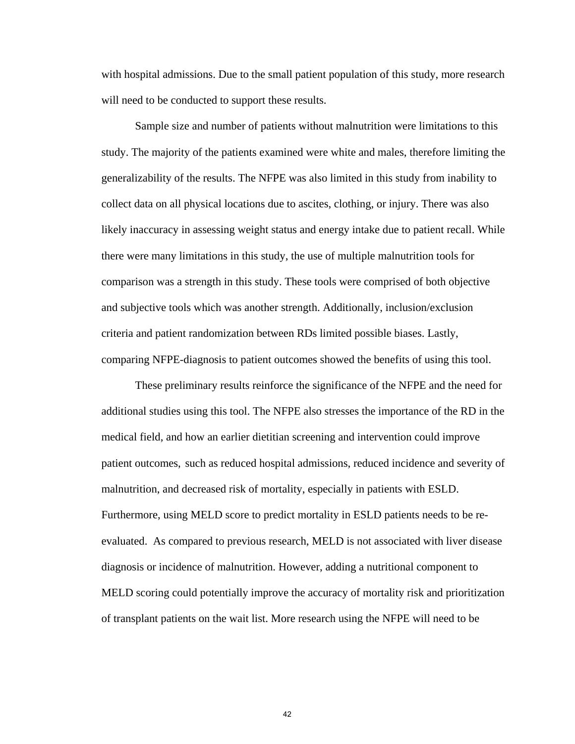with hospital admissions. Due to the small patient population of this study, more research will need to be conducted to support these results.

Sample size and number of patients without malnutrition were limitations to this study. The majority of the patients examined were white and males, therefore limiting the generalizability of the results. The NFPE was also limited in this study from inability to collect data on all physical locations due to ascites, clothing, or injury. There was also likely inaccuracy in assessing weight status and energy intake due to patient recall. While there were many limitations in this study, the use of multiple malnutrition tools for comparison was a strength in this study. These tools were comprised of both objective and subjective tools which was another strength. Additionally, inclusion/exclusion criteria and patient randomization between RDs limited possible biases. Lastly, comparing NFPE-diagnosis to patient outcomes showed the benefits of using this tool.

These preliminary results reinforce the significance of the NFPE and the need for additional studies using this tool. The NFPE also stresses the importance of the RD in the medical field, and how an earlier dietitian screening and intervention could improve patient outcomes, such as reduced hospital admissions, reduced incidence and severity of malnutrition, and decreased risk of mortality, especially in patients with ESLD. Furthermore, using MELD score to predict mortality in ESLD patients needs to be reevaluated. As compared to previous research, MELD is not associated with liver disease diagnosis or incidence of malnutrition. However, adding a nutritional component to MELD scoring could potentially improve the accuracy of mortality risk and prioritization of transplant patients on the wait list. More research using the NFPE will need to be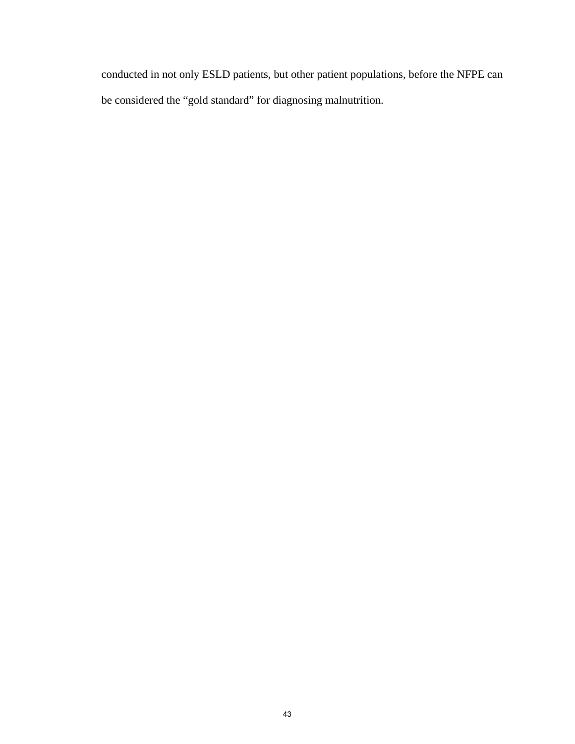conducted in not only ESLD patients, but other patient populations, before the NFPE can be considered the "gold standard" for diagnosing malnutrition.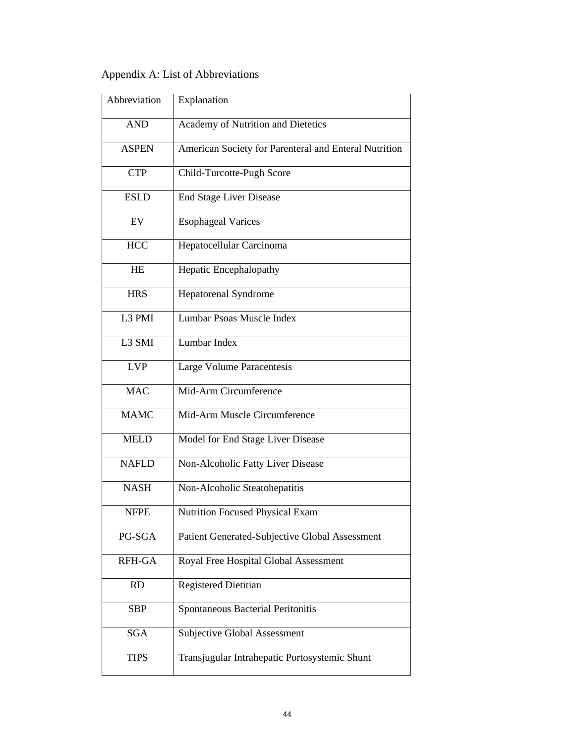# Appendix A: List of Abbreviations

| Abbreviation | Explanation                                           |
|--------------|-------------------------------------------------------|
| <b>AND</b>   | Academy of Nutrition and Dietetics                    |
| <b>ASPEN</b> | American Society for Parenteral and Enteral Nutrition |
| <b>CTP</b>   | Child-Turcotte-Pugh Score                             |
| <b>ESLD</b>  | <b>End Stage Liver Disease</b>                        |
| EV           | <b>Esophageal Varices</b>                             |
| <b>HCC</b>   | Hepatocellular Carcinoma                              |
| HE           | Hepatic Encephalopathy                                |
| <b>HRS</b>   | <b>Hepatorenal Syndrome</b>                           |
| L3 PMI       | Lumbar Psoas Muscle Index                             |
| L3 SMI       | Lumbar Index                                          |
| <b>LVP</b>   | Large Volume Paracentesis                             |
| <b>MAC</b>   | Mid-Arm Circumference                                 |
| <b>MAMC</b>  | Mid-Arm Muscle Circumference                          |
| <b>MELD</b>  | Model for End Stage Liver Disease                     |
| <b>NAFLD</b> | Non-Alcoholic Fatty Liver Disease                     |
| <b>NASH</b>  | Non-Alcoholic Steatohepatitis                         |
| <b>NFPE</b>  | <b>Nutrition Focused Physical Exam</b>                |
| PG-SGA       | Patient Generated-Subjective Global Assessment        |
| RFH-GA       | Royal Free Hospital Global Assessment                 |
| RD           | <b>Registered Dietitian</b>                           |
| <b>SBP</b>   | Spontaneous Bacterial Peritonitis                     |
| <b>SGA</b>   | Subjective Global Assessment                          |
| <b>TIPS</b>  | Transjugular Intrahepatic Portosystemic Shunt         |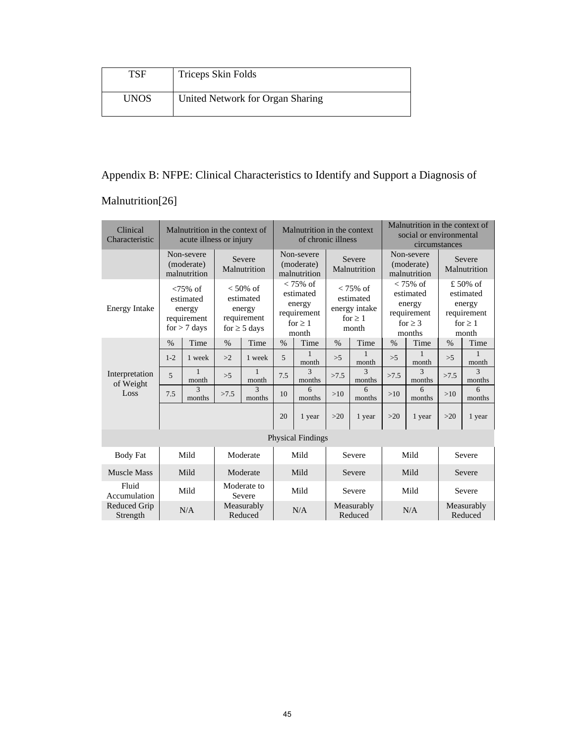| TSF         | Triceps Skin Folds               |
|-------------|----------------------------------|
| <b>UNOS</b> | United Network for Organ Sharing |

# Appendix B: NFPE: Clinical Characteristics to Identify and Support a Diagnosis of

## Malnutrition[26]

| Clinical<br>Characteristic  |         | Malnutrition in the context of<br>acute illness or injury           |                       |                                                                       | Malnutrition in the context<br>of chronic illness                          |                          |                                                                    |                        | Malnutrition in the context of<br>social or environmental<br>circumstances  |                        |                                                                           |                        |
|-----------------------------|---------|---------------------------------------------------------------------|-----------------------|-----------------------------------------------------------------------|----------------------------------------------------------------------------|--------------------------|--------------------------------------------------------------------|------------------------|-----------------------------------------------------------------------------|------------------------|---------------------------------------------------------------------------|------------------------|
|                             |         | Non-severe<br>(moderate)<br>malnutrition                            |                       | Severe<br>Malnutrition                                                | Non-severe<br>(moderate)<br>malnutrition                                   |                          | Severe<br>Malnutrition                                             |                        | Non-severe<br>(moderate)<br>malnutrition                                    |                        |                                                                           | Severe<br>Malnutrition |
| <b>Energy Intake</b>        |         | $< 75\%$ of<br>estimated<br>energy<br>requirement<br>$for > 7$ days |                       | $<$ 50% of<br>estimated<br>energy<br>requirement<br>for $\geq$ 5 days | $< 75\%$ of<br>estimated<br>energy<br>requirement<br>for $\geq 1$<br>month |                          | $< 75\%$ of<br>estimated<br>energy intake<br>for $\geq 1$<br>month |                        | $< 75\%$ of<br>estimated<br>energy<br>requirement<br>for $\geq$ 3<br>months |                        | $£50\%$ of<br>estimated<br>energy<br>requirement<br>for $\geq 1$<br>month |                        |
|                             | $\%$    | Time                                                                | $\%$                  | Time                                                                  | $\%$                                                                       | Time                     | $\%$                                                               | Time                   | $\%$                                                                        | Time                   | $\%$                                                                      | Time                   |
|                             | $1 - 2$ | 1 week                                                              | >2                    | 1 week                                                                | 5                                                                          | month                    | >5                                                                 | month                  | >5                                                                          | 1<br>month             | >5                                                                        | month                  |
| Interpretation<br>of Weight | 5       | $\mathbf{1}$<br>month                                               | >5                    | $\mathbf{1}$<br>month                                                 | 7.5                                                                        | 3<br>months              | >7.5                                                               | $\mathbf{3}$<br>months | >7.5                                                                        | $\mathbf{3}$<br>months | >7.5                                                                      | $\mathbf{3}$<br>months |
| Loss                        | 7.5     | 3<br>months                                                         | >7.5                  | $\overline{\mathcal{E}}$<br>months                                    | 10                                                                         | 6<br>months              | $>10$                                                              | 6<br>months            | >10                                                                         | 6<br>months            | >10                                                                       | 6<br>months            |
|                             |         |                                                                     |                       |                                                                       | 20                                                                         | 1 year                   | >20                                                                | 1 year                 | $>20$                                                                       | 1 year                 | >20                                                                       | 1 year                 |
|                             |         |                                                                     |                       |                                                                       |                                                                            | <b>Physical Findings</b> |                                                                    |                        |                                                                             |                        |                                                                           |                        |
| <b>Body Fat</b>             |         | Mild                                                                |                       | Moderate                                                              |                                                                            | Mild                     |                                                                    | Severe                 |                                                                             | Mild                   |                                                                           | Severe                 |
| Muscle Mass                 |         | Mild                                                                | Moderate              |                                                                       |                                                                            | Mild                     |                                                                    | Severe                 |                                                                             | Mild                   |                                                                           | Severe                 |
| Fluid<br>Accumulation       |         | Mild                                                                | Moderate to<br>Severe |                                                                       |                                                                            | Mild                     | Severe                                                             |                        | Mild                                                                        |                        |                                                                           | Severe                 |
| Reduced Grip<br>Strength    |         | N/A                                                                 |                       |                                                                       | Measurably<br>N/A<br>Reduced                                               |                          | Measurably<br>Reduced                                              |                        | N/A                                                                         |                        |                                                                           | Measurably<br>Reduced  |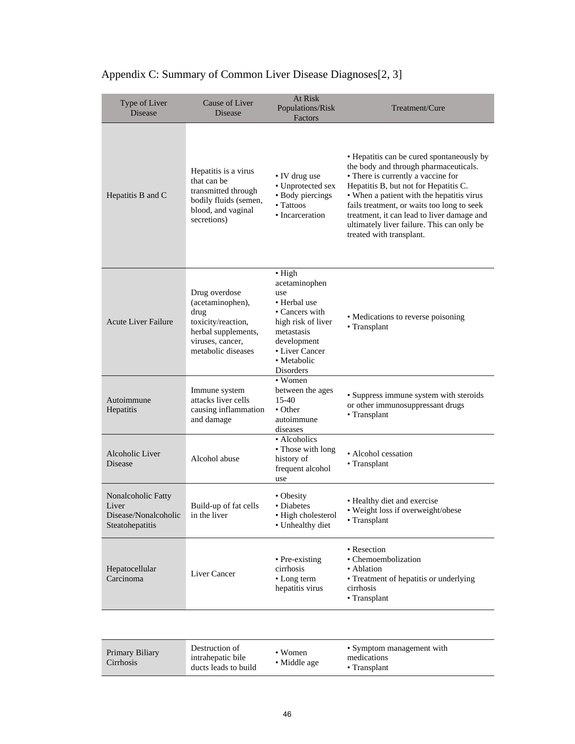| Type of Liver<br><b>Disease</b>                                        | Cause of Liver<br>Disease                                                                                                        | At Risk<br>Populations/Risk<br>Factors                                                                                                                                    | Treatment/Cure                                                                                                                                                                                                                                                                                                                                                                       |
|------------------------------------------------------------------------|----------------------------------------------------------------------------------------------------------------------------------|---------------------------------------------------------------------------------------------------------------------------------------------------------------------------|--------------------------------------------------------------------------------------------------------------------------------------------------------------------------------------------------------------------------------------------------------------------------------------------------------------------------------------------------------------------------------------|
| Hepatitis B and C                                                      | Hepatitis is a virus<br>that can be<br>transmitted through<br>bodily fluids (semen,<br>blood, and vaginal<br>secretions)         | • IV drug use<br>• Unprotected sex<br>• Body piercings<br>• Tattoos<br>• Incarceration                                                                                    | • Hepatitis can be cured spontaneously by<br>the body and through pharmaceuticals.<br>• There is currently a vaccine for<br>Hepatitis B, but not for Hepatitis C.<br>• When a patient with the hepatitis virus<br>fails treatment, or waits too long to seek<br>treatment, it can lead to liver damage and<br>ultimately liver failure. This can only be<br>treated with transplant. |
| <b>Acute Liver Failure</b>                                             | Drug overdose<br>(acetaminophen),<br>drug<br>toxicity/reaction,<br>herbal supplements,<br>viruses, cancer,<br>metabolic diseases | $\bullet$ High<br>acetaminophen<br>use<br>• Herbal use<br>• Cancers with<br>high risk of liver<br>metastasis<br>development<br>• Liver Cancer<br>• Metabolic<br>Disorders | • Medications to reverse poisoning<br>• Transplant                                                                                                                                                                                                                                                                                                                                   |
| Autoimmune<br>Hepatitis                                                | Immune system<br>attacks liver cells<br>causing inflammation<br>and damage                                                       | • Women<br>between the ages<br>$15-40$<br>• Other<br>autoimmune<br>diseases                                                                                               | • Suppress immune system with steroids<br>or other immunosuppressant drugs<br>• Transplant                                                                                                                                                                                                                                                                                           |
| Alcoholic Liver<br>Disease                                             | Alcohol abuse                                                                                                                    | • Alcoholics<br>• Those with long<br>history of<br>frequent alcohol<br>use                                                                                                | • Alcohol cessation<br>• Transplant                                                                                                                                                                                                                                                                                                                                                  |
| Nonalcoholic Fatty<br>Liver<br>Disease/Nonalcoholic<br>Steatohepatitis | Build-up of fat cells<br>in the liver                                                                                            | • Obesity<br>• Diabetes<br>· High cholesterol<br>• Unhealthy diet                                                                                                         | • Healthy diet and exercise<br>• Weight loss if overweight/obese<br>• Transplant                                                                                                                                                                                                                                                                                                     |
| Hepatocellular<br>Carcinoma                                            | Liver Cancer                                                                                                                     | • Pre-existing<br>cirrhosis<br>• Long term<br>hepatitis virus                                                                                                             | • Resection<br>• Chemoembolization<br>• Ablation<br>• Treatment of hepatitis or underlying<br>cirrhosis<br>• Transplant                                                                                                                                                                                                                                                              |

# Appendix C: Summary of Common Liver Disease Diagnoses[2, 3]

| Destruction of<br>Primary Biliary<br>intrahepatic bile<br>Cirrhosis<br>ducts leads to build | $\bullet$ Women<br>• Middle age | • Symptom management with<br>medications<br>$\bullet$ Transplant |
|---------------------------------------------------------------------------------------------|---------------------------------|------------------------------------------------------------------|
|---------------------------------------------------------------------------------------------|---------------------------------|------------------------------------------------------------------|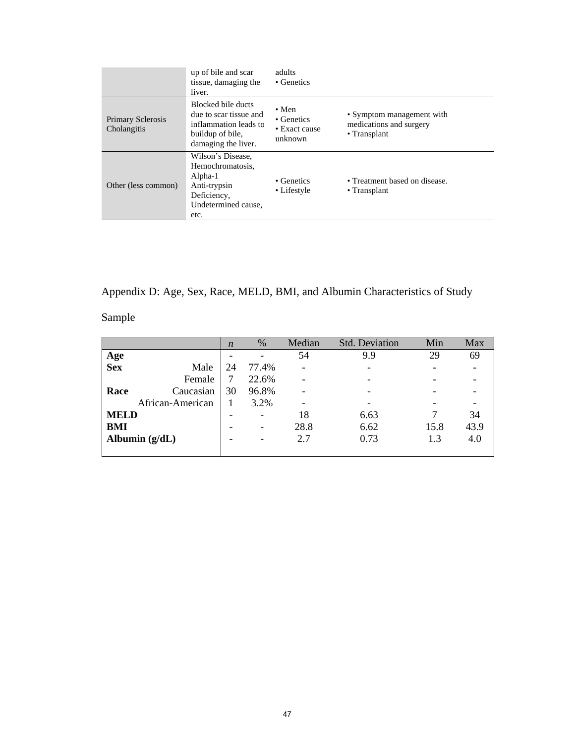|                                         | up of bile and scar<br>tissue, damaging the<br>liver.                                                                                                                                                                  | adults<br>• Genetics      |                                                     |
|-----------------------------------------|------------------------------------------------------------------------------------------------------------------------------------------------------------------------------------------------------------------------|---------------------------|-----------------------------------------------------|
| <b>Primary Sclerosis</b><br>Cholangitis | Blocked bile ducts<br>$\bullet$ Men<br>due to scar tissue and<br>• Genetics<br>inflammation leads to<br>medications and surgery<br>• Exact cause<br>• Transplant<br>buildup of bile,<br>unknown<br>damaging the liver. |                           | • Symptom management with                           |
| Other (less common)                     | Wilson's Disease,<br>Hemochromatosis.<br>Alpha-1<br>Anti-trypsin<br>Deficiency,<br>Undetermined cause,<br>etc.                                                                                                         | • Genetics<br>• Lifestyle | • Treatment based on disease.<br>$\cdot$ Transplant |

Appendix D: Age, Sex, Race, MELD, BMI, and Albumin Characteristics of Study

Sample

|             |                  | $\boldsymbol{n}$ | %     | Median                       | <b>Std. Deviation</b> | Min  | Max  |
|-------------|------------------|------------------|-------|------------------------------|-----------------------|------|------|
| Age         |                  |                  |       | 54                           | 9.9                   | 29   | 69   |
| <b>Sex</b>  | Male             | 24               | 77.4% | $\overline{\phantom{a}}$     |                       |      |      |
|             | Female           | 7                | 22.6% | $\qquad \qquad \blacksquare$ |                       |      |      |
| Race        | Caucasian        | 30               | 96.8% | ۰                            |                       |      |      |
|             | African-American |                  | 3.2%  | -                            |                       |      |      |
| <b>MELD</b> |                  |                  | ۰     | 18                           | 6.63                  |      | 34   |
| <b>BMI</b>  |                  |                  | ۰     | 28.8                         | 6.62                  | 15.8 | 43.9 |
|             | Albumin $(g/dL)$ |                  | -     | 2.7                          | 0.73                  | 1.3  | 4.0  |
|             |                  |                  |       |                              |                       |      |      |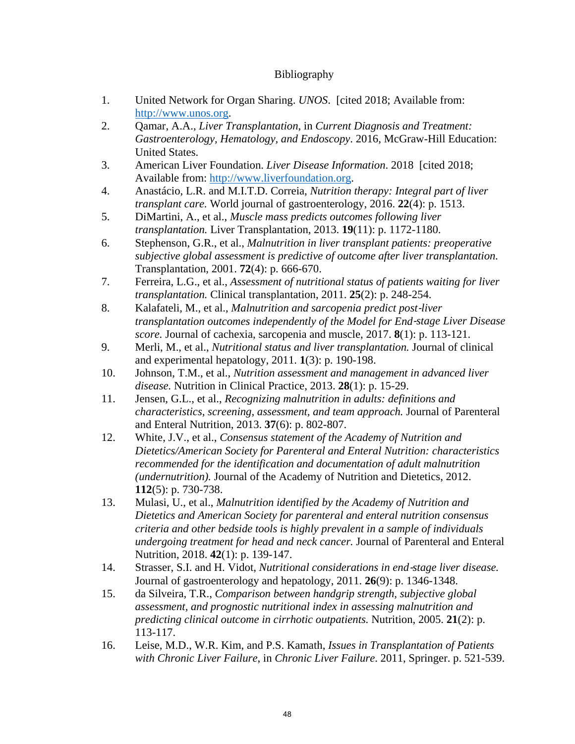### Bibliography

- 1. United Network for Organ Sharing. *UNOS*. [cited 2018; Available from: http://www.unos.org.
- 2. Qamar, A.A., *Liver Transplantation*, in *Current Diagnosis and Treatment: Gastroenterology, Hematology, and Endoscopy*. 2016, McGraw-Hill Education: United States.
- 3. American Liver Foundation. *Liver Disease Information*. 2018 [cited 2018; Available from: http://www.liverfoundation.org.
- 4. Anastácio, L.R. and M.I.T.D. Correia, *Nutrition therapy: Integral part of liver transplant care.* World journal of gastroenterology, 2016. **22**(4): p. 1513.
- 5. DiMartini, A., et al., *Muscle mass predicts outcomes following liver transplantation.* Liver Transplantation, 2013. **19**(11): p. 1172-1180.
- 6. Stephenson, G.R., et al., *Malnutrition in liver transplant patients: preoperative subjective global assessment is predictive of outcome after liver transplantation.* Transplantation, 2001. **72**(4): p. 666-670.
- 7. Ferreira, L.G., et al., *Assessment of nutritional status of patients waiting for liver transplantation.* Clinical transplantation, 2011. **25**(2): p. 248-254.
- 8. Kalafateli, M., et al., *Malnutrition and sarcopenia predict post*‐*liver transplantation outcomes independently of the Model for End*‐*stage Liver Disease score.* Journal of cachexia, sarcopenia and muscle, 2017. **8**(1): p. 113-121.
- 9. Merli, M., et al., *Nutritional status and liver transplantation.* Journal of clinical and experimental hepatology, 2011. **1**(3): p. 190-198.
- 10. Johnson, T.M., et al., *Nutrition assessment and management in advanced liver disease.* Nutrition in Clinical Practice, 2013. **28**(1): p. 15-29.
- 11. Jensen, G.L., et al., *Recognizing malnutrition in adults: definitions and characteristics, screening, assessment, and team approach.* Journal of Parenteral and Enteral Nutrition, 2013. **37**(6): p. 802-807.
- 12. White, J.V., et al., *Consensus statement of the Academy of Nutrition and Dietetics/American Society for Parenteral and Enteral Nutrition: characteristics recommended for the identification and documentation of adult malnutrition (undernutrition).* Journal of the Academy of Nutrition and Dietetics, 2012. **112**(5): p. 730-738.
- 13. Mulasi, U., et al., *Malnutrition identified by the Academy of Nutrition and Dietetics and American Society for parenteral and enteral nutrition consensus criteria and other bedside tools is highly prevalent in a sample of individuals undergoing treatment for head and neck cancer.* Journal of Parenteral and Enteral Nutrition, 2018. **42**(1): p. 139-147.
- 14. Strasser, S.I. and H. Vidot, *Nutritional considerations in end-stage liver disease.* Journal of gastroenterology and hepatology, 2011. **26**(9): p. 1346-1348.
- 15. da Silveira, T.R., *Comparison between handgrip strength, subjective global assessment, and prognostic nutritional index in assessing malnutrition and predicting clinical outcome in cirrhotic outpatients.* Nutrition, 2005. **21**(2): p. 113-117.
- 16. Leise, M.D., W.R. Kim, and P.S. Kamath, *Issues in Transplantation of Patients with Chronic Liver Failure*, in *Chronic Liver Failure*. 2011, Springer. p. 521-539.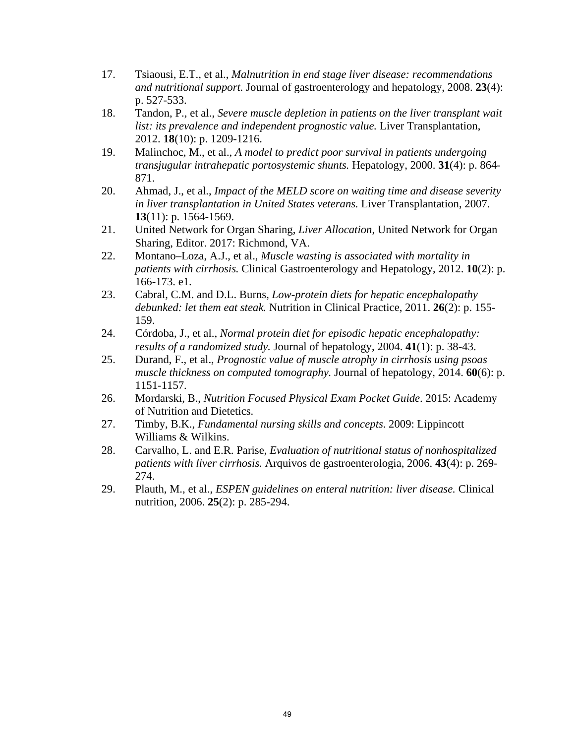- 17. Tsiaousi, E.T., et al., *Malnutrition in end stage liver disease: recommendations and nutritional support.* Journal of gastroenterology and hepatology, 2008. **23**(4): p. 527-533.
- 18. Tandon, P., et al., *Severe muscle depletion in patients on the liver transplant wait list: its prevalence and independent prognostic value.* Liver Transplantation, 2012. **18**(10): p. 1209-1216.
- 19. Malinchoc, M., et al., *A model to predict poor survival in patients undergoing transjugular intrahepatic portosystemic shunts.* Hepatology, 2000. **31**(4): p. 864- 871.
- 20. Ahmad, J., et al., *Impact of the MELD score on waiting time and disease severity in liver transplantation in United States veterans.* Liver Transplantation, 2007. **13**(11): p. 1564-1569.
- 21. United Network for Organ Sharing, *Liver Allocation*, United Network for Organ Sharing, Editor. 2017: Richmond, VA.
- 22. Montano–Loza, A.J., et al., *Muscle wasting is associated with mortality in patients with cirrhosis.* Clinical Gastroenterology and Hepatology, 2012. **10**(2): p. 166-173. e1.
- 23. Cabral, C.M. and D.L. Burns, *Low-protein diets for hepatic encephalopathy debunked: let them eat steak.* Nutrition in Clinical Practice, 2011. **26**(2): p. 155- 159.
- 24. Córdoba, J., et al., *Normal protein diet for episodic hepatic encephalopathy: results of a randomized study.* Journal of hepatology, 2004. **41**(1): p. 38-43.
- 25. Durand, F., et al., *Prognostic value of muscle atrophy in cirrhosis using psoas muscle thickness on computed tomography.* Journal of hepatology, 2014. **60**(6): p. 1151-1157.
- 26. Mordarski, B., *Nutrition Focused Physical Exam Pocket Guide*. 2015: Academy of Nutrition and Dietetics.
- 27. Timby, B.K., *Fundamental nursing skills and concepts*. 2009: Lippincott Williams & Wilkins.
- 28. Carvalho, L. and E.R. Parise, *Evaluation of nutritional status of nonhospitalized patients with liver cirrhosis.* Arquivos de gastroenterologia, 2006. **43**(4): p. 269- 274.
- 29. Plauth, M., et al., *ESPEN guidelines on enteral nutrition: liver disease.* Clinical nutrition, 2006. **25**(2): p. 285-294.